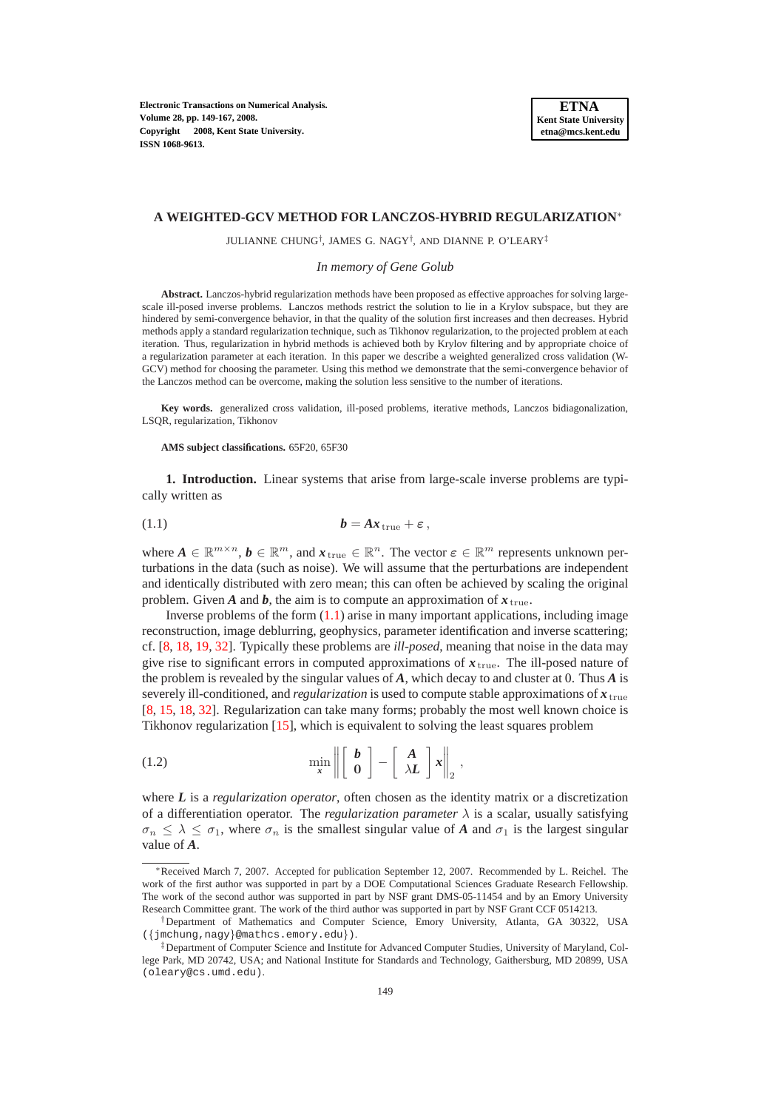**Electronic Transactions on Numerical Analysis. Volume 28, pp. 149-167, 2008. Copyright 2008, Kent State University. ISSN 1068-9613.**

#### **A WEIGHTED-GCV METHOD FOR LANCZOS-HYBRID REGULARIZATION**<sup>∗</sup>

JULIANNE CHUNG† , JAMES G. NAGY† , AND DIANNE P. O'LEARY‡

*In memory of Gene Golub*

**Abstract.** Lanczos-hybrid regularization methods have been proposed as effective approaches for solving largescale ill-posed inverse problems. Lanczos methods restrict the solution to lie in a Krylov subspace, but they are hindered by semi-convergence behavior, in that the quality of the solution first increases and then decreases. Hybrid methods apply a standard regularization technique, such as Tikhonov regularization, to the projected problem at each iteration. Thus, regularization in hybrid methods is achieved both by Krylov filtering and by appropriate choice of a regularization parameter at each iteration. In this paper we describe a weighted generalized cross validation (W-GCV) method for choosing the parameter. Using this method we demonstrate that the semi-convergence behavior of the Lanczos method can be overcome, making the solution less sensitive to the number of iterations.

**Key words.** generalized cross validation, ill-posed problems, iterative methods, Lanczos bidiagonalization, LSQR, regularization, Tikhonov

#### **AMS subject classifications.** 65F20, 65F30

<span id="page-0-2"></span>**1. Introduction.** Linear systems that arise from large-scale inverse problems are typically written as

<span id="page-0-0"></span>
$$
(1.1) \t\t b = Ax_{\text{true}} + \varepsilon,
$$

where  $A \in \mathbb{R}^{m \times n}$ ,  $b \in \mathbb{R}^m$ , and  $x_{\text{true}} \in \mathbb{R}^n$ . The vector  $\varepsilon \in \mathbb{R}^m$  represents unknown perturbations in the data (such as noise). We will assume that the perturbations are independent and identically distributed with zero mean; this can often be achieved by scaling the original problem. Given *A* and *b*, the aim is to compute an approximation of  $x_{true}$ .

Inverse problems of the form  $(1.1)$  arise in many important applications, including image reconstruction, image deblurring, geophysics, parameter identification and inverse scattering; cf. [\[8,](#page-17-0) [18,](#page-17-1) [19,](#page-17-2) [32\]](#page-18-0). Typically these problems are *ill-posed*, meaning that noise in the data may give rise to significant errors in computed approximations of  $x_{true}$ . The ill-posed nature of the problem is revealed by the singular values of *A*, which decay to and cluster at 0. Thus *A* is severely ill-conditioned, and *regularization* is used to compute stable approximations of *x* true [\[8,](#page-17-0) [15,](#page-17-3) [18,](#page-17-1) [32\]](#page-18-0). Regularization can take many forms; probably the most well known choice is Tikhonov regularization [\[15\]](#page-17-3), which is equivalent to solving the least squares problem

<span id="page-0-1"></span>(1.2) 
$$
\min_{\mathbf{x}} \left\| \begin{bmatrix} \mathbf{b} \\ \mathbf{0} \end{bmatrix} - \begin{bmatrix} \mathbf{A} \\ \lambda \mathbf{L} \end{bmatrix} \mathbf{x} \right\|_2,
$$

where *L* is a *regularization operator*, often chosen as the identity matrix or a discretization of a differentiation operator. The *regularization parameter*  $\lambda$  is a scalar, usually satisfying  $\sigma_n < \lambda < \sigma_1$ , where  $\sigma_n$  is the smallest singular value of *A* and  $\sigma_1$  is the largest singular value of *A*.

<sup>∗</sup>Received March 7, 2007. Accepted for publication September 12, 2007. Recommended by L. Reichel. The work of the first author was supported in part by a DOE Computational Sciences Graduate Research Fellowship. The work of the second author was supported in part by NSF grant DMS-05-11454 and by an Emory University Research Committee grant. The work of the third author was supported in part by NSF Grant CCF 0514213.

<sup>†</sup>Department of Mathematics and Computer Science, Emory University, Atlanta, GA 30322, USA ({jmchung,nagy}@mathcs.emory.edu}).

<sup>‡</sup>Department of Computer Science and Institute for Advanced Computer Studies, University of Maryland, College Park, MD 20742, USA; and National Institute for Standards and Technology, Gaithersburg, MD 20899, USA (oleary@cs.umd.edu).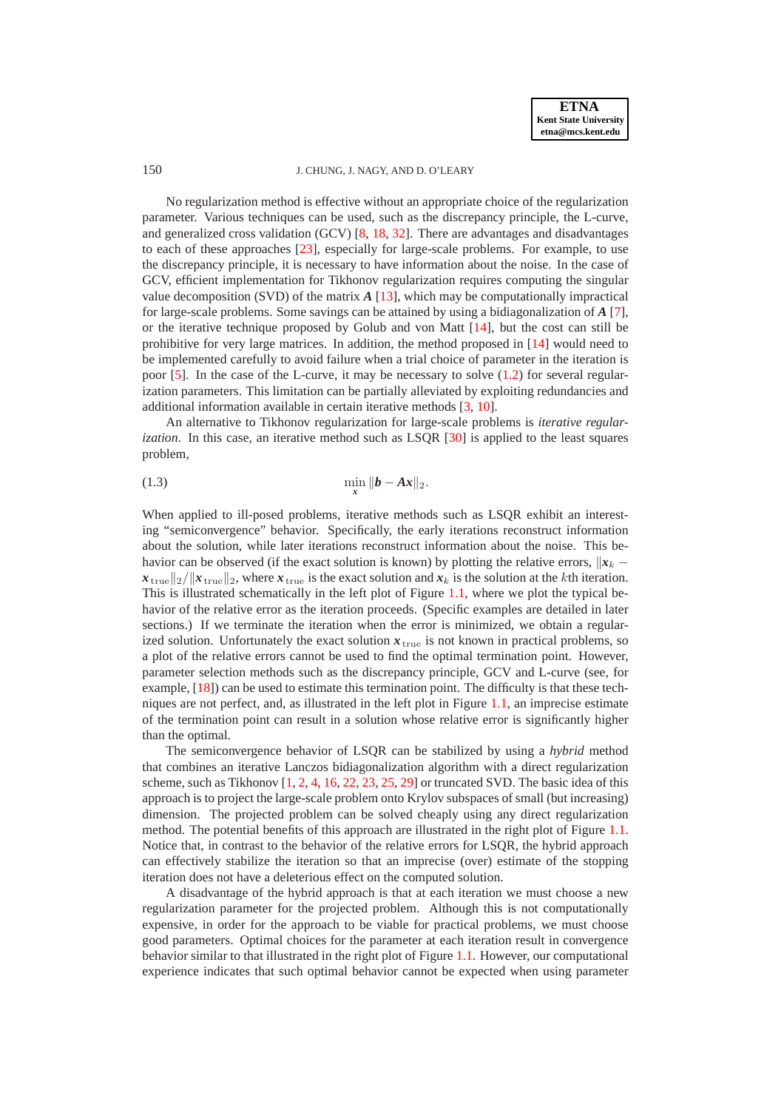

No regularization method is effective without an appropriate choice of the regularization parameter. Various techniques can be used, such as the discrepancy principle, the L-curve, and generalized cross validation (GCV) [\[8,](#page-17-0) [18,](#page-17-1) [32\]](#page-18-0). There are advantages and disadvantages to each of these approaches [\[23\]](#page-17-4), especially for large-scale problems. For example, to use the discrepancy principle, it is necessary to have information about the noise. In the case of GCV, efficient implementation for Tikhonov regularization requires computing the singular value decomposition (SVD) of the matrix  $A$  [\[13\]](#page-17-5), which may be computationally impractical for large-scale problems. Some savings can be attained by using a bidiagonalization of *A* [\[7\]](#page-17-6), or the iterative technique proposed by Golub and von Matt [\[14\]](#page-17-7), but the cost can still be prohibitive for very large matrices. In addition, the method proposed in [\[14\]](#page-17-7) would need to be implemented carefully to avoid failure when a trial choice of parameter in the iteration is poor  $[5]$ . In the case of the L-curve, it may be necessary to solve  $(1.2)$  for several regularization parameters. This limitation can be partially alleviated by exploiting redundancies and additional information available in certain iterative methods [\[3,](#page-17-9) [10\]](#page-17-10).

An alternative to Tikhonov regularization for large-scale problems is *iterative regularization*. In this case, an iterative method such as LSQR [\[30\]](#page-18-1) is applied to the least squares problem,

<span id="page-1-0"></span>(1.3) 
$$
\min_{x} \|b - Ax\|_2.
$$

When applied to ill-posed problems, iterative methods such as LSQR exhibit an interesting "semiconvergence" behavior. Specifically, the early iterations reconstruct information about the solution, while later iterations reconstruct information about the noise. This behavior can be observed (if the exact solution is known) by plotting the relative errors,  $\|\mathbf{x}_k \mathbf{x}_{\text{true}}||2/||\mathbf{x}_{\text{true}}||_2$ , where  $\mathbf{x}_{\text{true}}$  is the exact solution and  $\mathbf{x}_k$  is the solution at the k<sup>th</sup> iteration. This is illustrated schematically in the left plot of Figure [1.1,](#page-14-0) where we plot the typical behavior of the relative error as the iteration proceeds. (Specific examples are detailed in later sections.) If we terminate the iteration when the error is minimized, we obtain a regularized solution. Unfortunately the exact solution  $x_{\text{true}}$  is not known in practical problems, so a plot of the relative errors cannot be used to find the optimal termination point. However, parameter selection methods such as the discrepancy principle, GCV and L-curve (see, for example, [\[18\]](#page-17-1)) can be used to estimate this termination point. The difficulty is that these techniques are not perfect, and, as illustrated in the left plot in Figure [1.1,](#page-14-0) an imprecise estimate of the termination point can result in a solution whose relative error is significantly higher than the optimal.

The semiconvergence behavior of LSQR can be stabilized by using a *hybrid* method that combines an iterative Lanczos bidiagonalization algorithm with a direct regularization scheme, such as Tikhonov  $[1, 2, 4, 16, 22, 23, 25, 29]$  $[1, 2, 4, 16, 22, 23, 25, 29]$  $[1, 2, 4, 16, 22, 23, 25, 29]$  $[1, 2, 4, 16, 22, 23, 25, 29]$  $[1, 2, 4, 16, 22, 23, 25, 29]$  $[1, 2, 4, 16, 22, 23, 25, 29]$  $[1, 2, 4, 16, 22, 23, 25, 29]$  $[1, 2, 4, 16, 22, 23, 25, 29]$  $[1, 2, 4, 16, 22, 23, 25, 29]$  $[1, 2, 4, 16, 22, 23, 25, 29]$  $[1, 2, 4, 16, 22, 23, 25, 29]$  $[1, 2, 4, 16, 22, 23, 25, 29]$  $[1, 2, 4, 16, 22, 23, 25, 29]$  $[1, 2, 4, 16, 22, 23, 25, 29]$  or truncated SVD. The basic idea of this approach is to project the large-scale problem onto Krylov subspaces of small (but increasing) dimension. The projected problem can be solved cheaply using any direct regularization method. The potential benefits of this approach are illustrated in the right plot of Figure [1.1.](#page-14-0) Notice that, in contrast to the behavior of the relative errors for LSQR, the hybrid approach can effectively stabilize the iteration so that an imprecise (over) estimate of the stopping iteration does not have a deleterious effect on the computed solution.

A disadvantage of the hybrid approach is that at each iteration we must choose a new regularization parameter for the projected problem. Although this is not computationally expensive, in order for the approach to be viable for practical problems, we must choose good parameters. Optimal choices for the parameter at each iteration result in convergence behavior similar to that illustrated in the right plot of Figure [1.1.](#page-14-0) However, our computational experience indicates that such optimal behavior cannot be expected when using parameter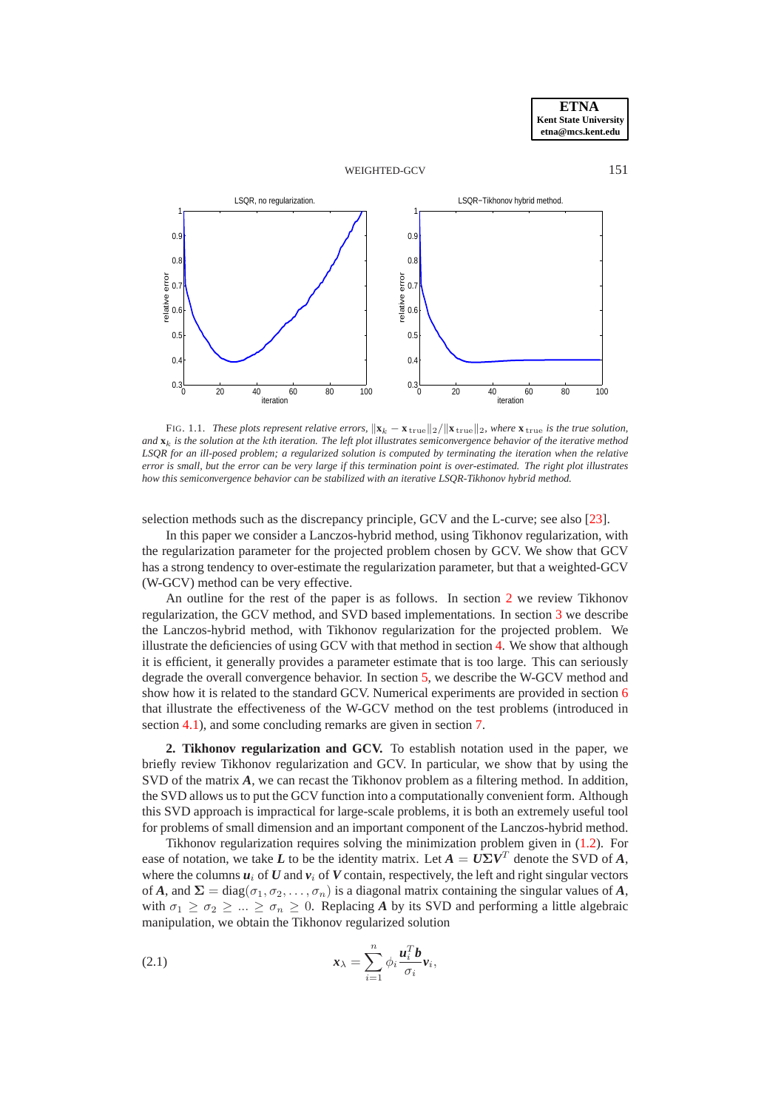



FIG. 1.1. *These plots represent relative errors,*  $\|\mathbf{x}_k - \mathbf{x}_{\text{true}}\|_2 / \|\mathbf{x}_{\text{true}}\|_2$ , where  $\mathbf{x}_{\text{true}}$  is the true solution, *and* **x**k *is the solution at the* k*th iteration. The left plot illustrates semiconvergence behavior of the iterative method LSQR for an ill-posed problem; a regularized solution is computed by terminating the iteration when the relative error is small, but the error can be very large if this termination point is over-estimated. The right plot illustrates how this semiconvergence behavior can be stabilized with an iterative LSQR-Tikhonov hybrid method.*

selection methods such as the discrepancy principle, GCV and the L-curve; see also [\[23\]](#page-17-4).

In this paper we consider a Lanczos-hybrid method, using Tikhonov regularization, with the regularization parameter for the projected problem chosen by GCV. We show that GCV has a strong tendency to over-estimate the regularization parameter, but that a weighted-GCV (W-GCV) method can be very effective.

An outline for the rest of the paper is as follows. In section [2](#page-2-0) we review Tikhonov regularization, the GCV method, and SVD based implementations. In section [3](#page-3-0) we describe the Lanczos-hybrid method, with Tikhonov regularization for the projected problem. We illustrate the deficiencies of using GCV with that method in section [4.](#page-5-0) We show that although it is efficient, it generally provides a parameter estimate that is too large. This can seriously degrade the overall convergence behavior. In section [5,](#page-7-0) we describe the W-GCV method and show how it is related to the standard GCV. Numerical experiments are provided in section [6](#page-13-0) that illustrate the effectiveness of the W-GCV method on the test problems (introduced in section [4.1\)](#page-5-1), and some concluding remarks are given in section [7.](#page-15-0)

<span id="page-2-0"></span>**2. Tikhonov regularization and GCV.** To establish notation used in the paper, we briefly review Tikhonov regularization and GCV. In particular, we show that by using the SVD of the matrix A, we can recast the Tikhonov problem as a filtering method. In addition, the SVD allows us to put the GCV function into a computationally convenient form. Although this SVD approach is impractical for large-scale problems, it is both an extremely useful tool for problems of small dimension and an important component of the Lanczos-hybrid method.

Tikhonov regularization requires solving the minimization problem given in [\(1.2\)](#page-0-1). For ease of notation, we take *L* to be the identity matrix. Let  $A = U\Sigma V^T$  denote the SVD of *A*, where the columns  $u_i$  of  $U$  and  $v_i$  of  $V$  contain, respectively, the left and right singular vectors of *A*, and  $\Sigma = \text{diag}(\sigma_1, \sigma_2, \dots, \sigma_n)$  is a diagonal matrix containing the singular values of *A*, with  $\sigma_1 \geq \sigma_2 \geq ... \geq \sigma_n \geq 0$ . Replacing *A* by its SVD and performing a little algebraic manipulation, we obtain the Tikhonov regularized solution

<span id="page-2-1"></span>(2.1) 
$$
\mathbf{x}_{\lambda} = \sum_{i=1}^{n} \phi_i \frac{\mathbf{u}_i^T \mathbf{b}}{\sigma_i} \mathbf{v}_i,
$$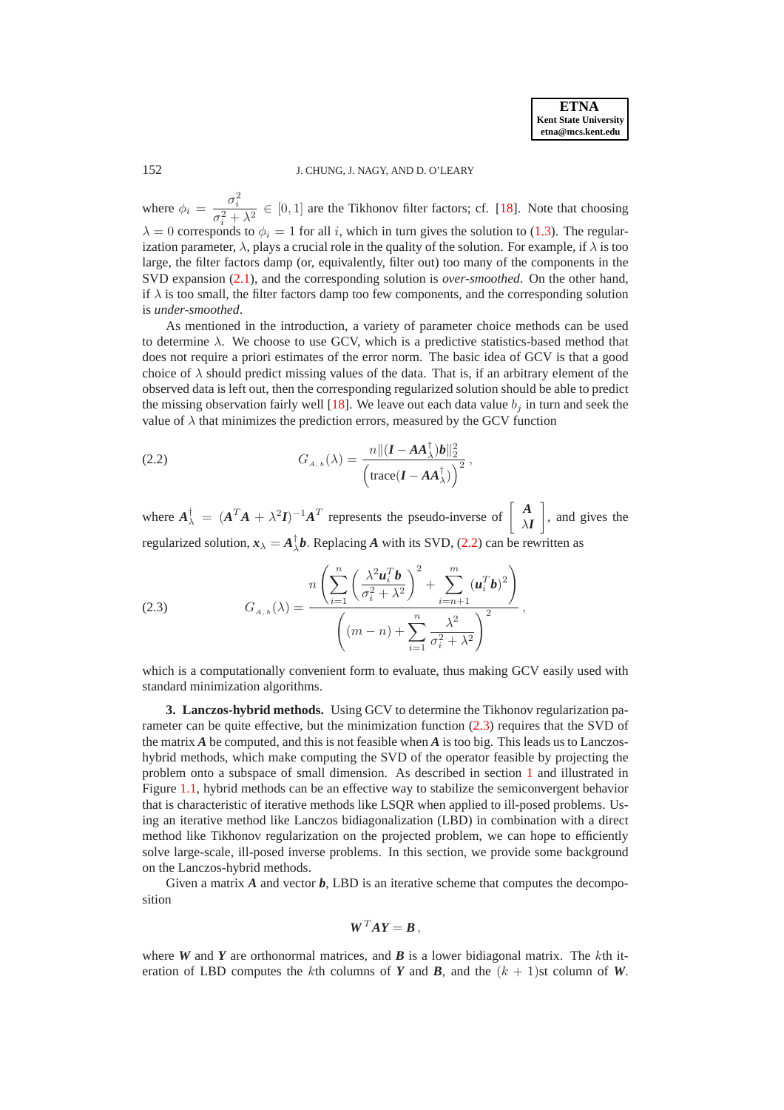where  $\phi_i = \frac{\sigma_i^2}{2}$  $\frac{\sigma_i}{\sigma_i^2 + \lambda^2} \in [0, 1]$  are the Tikhonov filter factors; cf. [\[18\]](#page-17-1). Note that choosing  $\lambda = 0$  corresponds to  $\phi_i = 1$  for all i, which in turn gives the solution to [\(1.3\)](#page-1-0). The regularization parameter,  $\lambda$ , plays a crucial role in the quality of the solution. For example, if  $\lambda$  is too large, the filter factors damp (or, equivalently, filter out) too many of the components in the SVD expansion [\(2.1\)](#page-2-1), and the corresponding solution is *over-smoothed*. On the other hand, if  $\lambda$  is too small, the filter factors damp too few components, and the corresponding solution is *under-smoothed*.

As mentioned in the introduction, a variety of parameter choice methods can be used to determine  $\lambda$ . We choose to use GCV, which is a predictive statistics-based method that does not require a priori estimates of the error norm. The basic idea of GCV is that a good choice of  $\lambda$  should predict missing values of the data. That is, if an arbitrary element of the observed data is left out, then the corresponding regularized solution should be able to predict the missing observation fairly well [\[18\]](#page-17-1). We leave out each data value  $b_i$  in turn and seek the value of  $\lambda$  that minimizes the prediction errors, measured by the GCV function

<span id="page-3-1"></span>(2.2) 
$$
G_{A,b}(\lambda) = \frac{n \| (\boldsymbol{I} - \boldsymbol{A}\boldsymbol{A}_{\lambda}^{\dagger})\boldsymbol{b} \|_{2}^{2}}{\left(\text{trace}(\boldsymbol{I} - \boldsymbol{A}\boldsymbol{A}_{\lambda}^{\dagger})\right)^{2}},
$$

where  $A_{\lambda}^{\dagger} = (A^T A + \lambda^2 I)^{-1} A^T$  represents the pseudo-inverse of  $\begin{bmatrix} A \\ \lambda I \end{bmatrix}$  $\lambda I$ 1 , and gives the regularized solution,  $x_{\lambda} = A_{\lambda}^{\dagger}b$ . Replacing *A* with its SVD, [\(2.2\)](#page-3-1) can be rewritten as

<span id="page-3-2"></span>(2.3) 
$$
G_{A,b}(\lambda) = \frac{n \left( \sum_{i=1}^{n} \left( \frac{\lambda^2 \boldsymbol{u}_i^T \boldsymbol{b}}{\sigma_i^2 + \lambda^2} \right)^2 + \sum_{i=n+1}^{m} (\boldsymbol{u}_i^T \boldsymbol{b})^2 \right)}{\left( (m-n) + \sum_{i=1}^{n} \frac{\lambda^2}{\sigma_i^2 + \lambda^2} \right)^2},
$$

which is a computationally convenient form to evaluate, thus making GCV easily used with standard minimization algorithms.

<span id="page-3-0"></span>**3. Lanczos-hybrid methods.** Using GCV to determine the Tikhonov regularization parameter can be quite effective, but the minimization function [\(2.3\)](#page-3-2) requires that the SVD of the matrix  $\vec{A}$  be computed, and this is not feasible when  $\vec{A}$  is too big. This leads us to Lanczoshybrid methods, which make computing the SVD of the operator feasible by projecting the problem onto a subspace of small dimension. As described in section [1](#page-0-2) and illustrated in Figure [1.1,](#page-14-0) hybrid methods can be an effective way to stabilize the semiconvergent behavior that is characteristic of iterative methods like LSQR when applied to ill-posed problems. Using an iterative method like Lanczos bidiagonalization (LBD) in combination with a direct method like Tikhonov regularization on the projected problem, we can hope to efficiently solve large-scale, ill-posed inverse problems. In this section, we provide some background on the Lanczos-hybrid methods.

Given a matrix *A* and vector *b*, LBD is an iterative scheme that computes the decomposition

$$
\boldsymbol{W}^T \boldsymbol{A} \boldsymbol{Y} = \boldsymbol{B} \,,
$$

where *W* and *Y* are orthonormal matrices, and *B* is a lower bidiagonal matrix. The kth iteration of LBD computes the kth columns of *Y* and *B*, and the  $(k + 1)$ st column of *W*.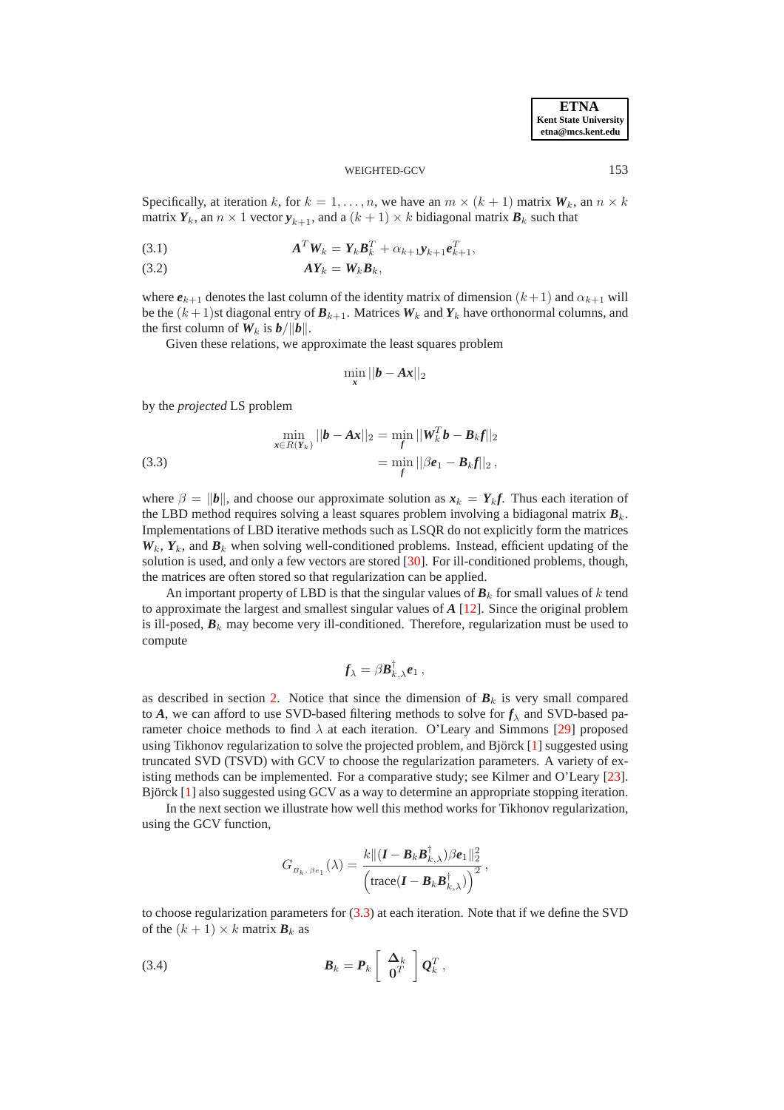**ETNA Kent State University etna@mcs.kent.edu**

#### WEIGHTED-GCV 153

Specifically, at iteration k, for  $k = 1, \ldots, n$ , we have an  $m \times (k + 1)$  matrix  $W_k$ , an  $n \times k$ matrix  $Y_k$ , an  $n \times 1$  vector  $y_{k+1}$ , and a  $(k+1) \times k$  bidiagonal matrix  $B_k$  such that

<span id="page-4-1"></span>
$$
\mathbf{A}^T \mathbf{W}_k = \mathbf{Y}_k \mathbf{B}_k^T + \alpha_{k+1} \mathbf{y}_{k+1} \mathbf{e}_{k+1}^T,
$$

$$
AY_k = W_k B_k,
$$

where  $e_{k+1}$  denotes the last column of the identity matrix of dimension  $(k+1)$  and  $\alpha_{k+1}$  will be the  $(k+1)$ st diagonal entry of  $B_{k+1}$ . Matrices  $W_k$  and  $Y_k$  have orthonormal columns, and the first column of  $W_k$  is  $b/||b||$ .

Given these relations, we approximate the least squares problem

$$
\min_{\mathbf{x}} ||\boldsymbol{b} - \boldsymbol{A}\boldsymbol{x}||_2
$$

by the *projected* LS problem

<span id="page-4-0"></span>(3.3) 
$$
\min_{\mathbf{x} \in R(Y_k)} ||\mathbf{b} - \mathbf{A}\mathbf{x}||_2 = \min_{f} ||\mathbf{W}_k^T \mathbf{b} - \mathbf{B}_k \mathbf{f}||_2
$$

$$
= \min_{f} ||\beta \mathbf{e}_1 - \mathbf{B}_k \mathbf{f}||_2,
$$

where  $\beta = ||b||$ , and choose our approximate solution as  $x_k = Y_k f$ . Thus each iteration of the LBD method requires solving a least squares problem involving a bidiagonal matrix  $B_k$ . Implementations of LBD iterative methods such as LSQR do not explicitly form the matrices  $W_k$ ,  $Y_k$ , and  $B_k$  when solving well-conditioned problems. Instead, efficient updating of the solution is used, and only a few vectors are stored  $[30]$ . For ill-conditioned problems, though, the matrices are often stored so that regularization can be applied.

An important property of LBD is that the singular values of  $B_k$  for small values of k tend to approximate the largest and smallest singular values of *A* [\[12\]](#page-17-16). Since the original problem is ill-posed,  $\mathbf{B}_k$  may become very ill-conditioned. Therefore, regularization must be used to compute

$$
\pmb{f}_{\lambda} = \beta \pmb{B}^{\dagger}_{k,\lambda} \pmb{e}_1 \,,
$$

as described in section [2.](#page-2-0) Notice that since the dimension of  $B_k$  is very small compared to *A*, we can afford to use SVD-based filtering methods to solve for  $f_\lambda$  and SVD-based parameter choice methods to find  $\lambda$  at each iteration. O'Leary and Simmons [\[29\]](#page-18-3) proposed using Tikhonov regularization to solve the projected problem, and Björck  $[1]$  $[1]$  suggested using truncated SVD (TSVD) with GCV to choose the regularization parameters. A variety of existing methods can be implemented. For a comparative study; see Kilmer and O'Leary [\[23\]](#page-17-4). Björck  $[1]$  $[1]$  also suggested using GCV as a way to determine an appropriate stopping iteration.

In the next section we illustrate how well this method works for Tikhonov regularization, using the GCV function,

$$
G_{B_k, \beta e_1}(\lambda) = \frac{k \Vert (\bm{I} - \bm{B}_k \bm{B}_{k,\lambda}^{\dagger}) \beta \bm{e}_1 \Vert_2^2}{\left( \text{trace}(\bm{I} - \bm{B}_k \bm{B}_{k,\lambda}^{\dagger}) \right)^2},
$$

to choose regularization parameters for [\(3.3\)](#page-4-0) at each iteration. Note that if we define the SVD of the  $(k + 1) \times k$  matrix  $B_k$  as

<span id="page-4-2"></span>(3.4) 
$$
\boldsymbol{B}_k = \boldsymbol{P}_k \left[ \begin{array}{c} \boldsymbol{\Delta}_k \\ \mathbf{0}^T \end{array} \right] \boldsymbol{Q}_k^T,
$$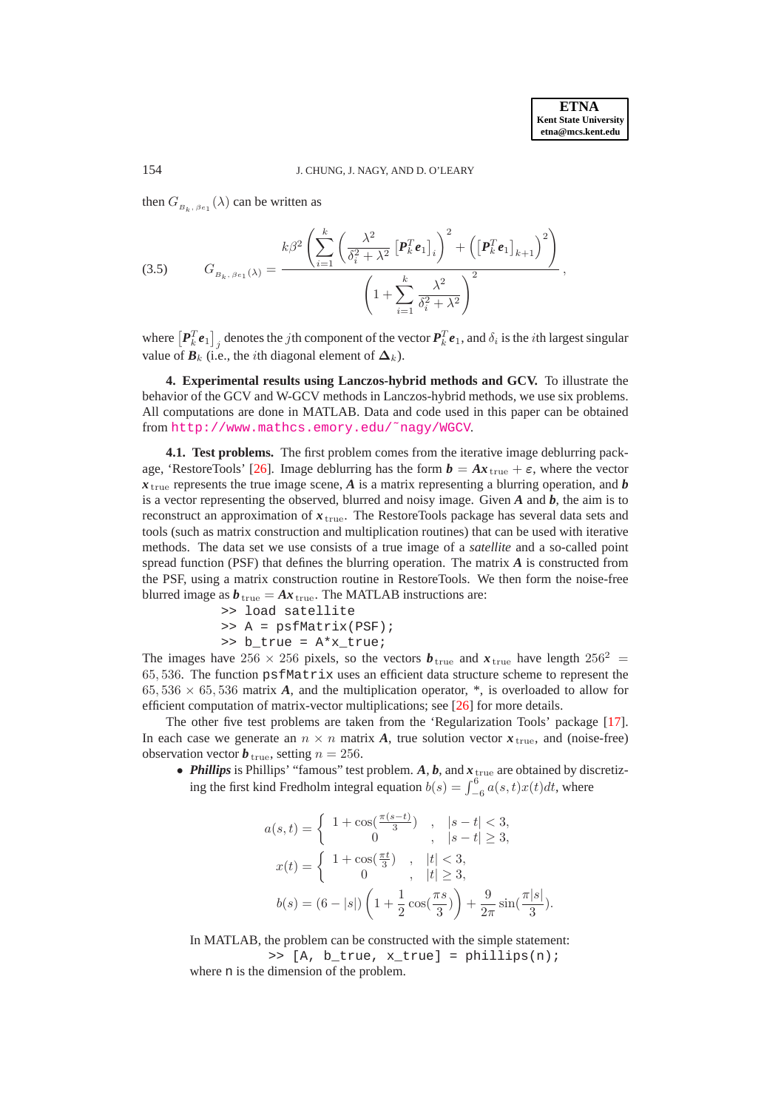then  $G_{B_k, \beta e_1}(\lambda)$  can be written as

<span id="page-5-2"></span>(3.5) 
$$
G_{B_k, \beta e_1(\lambda)} = \frac{k\beta^2 \left( \sum_{i=1}^k \left( \frac{\lambda^2}{\delta_i^2 + \lambda^2} \left[ \boldsymbol{P}_k^T \boldsymbol{e}_1 \right]_i \right)^2 + \left( \left[ \boldsymbol{P}_k^T \boldsymbol{e}_1 \right]_{k+1} \right)^2 \right)}{\left( 1 + \sum_{i=1}^k \frac{\lambda^2}{\delta_i^2 + \lambda^2} \right)^2},
$$

where  $\left[P_k^T\bm{e}_1\right]_j$  denotes the *j*th component of the vector  $\bm{P}_k^T\bm{e}_1$ , and  $\delta_i$  is the *i*th largest singular value of  $\mathbf{B}_k$  (i.e., the *i*th diagonal element of  $\Delta_k$ ).

<span id="page-5-0"></span>**4. Experimental results using Lanczos-hybrid methods and GCV.** To illustrate the behavior of the GCV and W-GCV methods in Lanczos-hybrid methods, we use six problems. All computations are done in MATLAB. Data and code used in this paper can be obtained from [http://www.mathcs.emory.edu/˜nagy/WGCV](http://www.mathcs.emory.edu/~nagy/WGCV).

<span id="page-5-1"></span>**4.1. Test problems.** The first problem comes from the iterative image deblurring pack-age, 'RestoreTools' [\[26\]](#page-18-4). Image deblurring has the form  $\mathbf{b} = A\mathbf{x}_{\text{true}} + \varepsilon$ , where the vector  $x_{\text{true}}$  represents the true image scene, *A* is a matrix representing a blurring operation, and *b* is a vector representing the observed, blurred and noisy image. Given  $A$  and  $b$ , the aim is to reconstruct an approximation of  $x_{true}$ . The RestoreTools package has several data sets and tools (such as matrix construction and multiplication routines) that can be used with iterative methods. The data set we use consists of a true image of a *satellite* and a so-called point spread function (PSF) that defines the blurring operation. The matrix *A* is constructed from the PSF, using a matrix construction routine in RestoreTools. We then form the noise-free blurred image as  $b_{true} = Ax_{true}$ . The MATLAB instructions are:

>> load satellite >> A = psfMatrix(PSF); >> b\_true = A\*x\_true;

The images have 256  $\times$  256 pixels, so the vectors  $\boldsymbol{b}_{true}$  and  $\boldsymbol{x}_{true}$  have length 256<sup>2</sup> = 65, 536. The function psfMatrix uses an efficient data structure scheme to represent the  $65,536 \times 65,536$  matrix *A*, and the multiplication operator, \*, is overloaded to allow for efficient computation of matrix-vector multiplications; see [\[26\]](#page-18-4) for more details.

The other five test problems are taken from the 'Regularization Tools' package [\[17\]](#page-17-17). In each case we generate an  $n \times n$  matrix A, true solution vector  $x_{true}$ , and (noise-free) observation vector  $\boldsymbol{b}_{true}$ , setting  $n = 256$ .

• *Phillips* is Phillips' "famous" test problem.  $A$ ,  $b$ , and  $x$ <sub>true</sub> are obtained by discretizing the first kind Fredholm integral equation  $b(s) = \int_{-6}^{6} a(s, t)x(t)dt$ , where

$$
a(s,t) = \begin{cases} 1 + \cos(\frac{\pi(s-t)}{3}) & , |s-t| < 3, \\ 0 & , |s-t| \ge 3, \end{cases}
$$
  

$$
x(t) = \begin{cases} 1 + \cos(\frac{\pi t}{3}) & , |t| < 3, \\ 0 & , |t| \ge 3, \end{cases}
$$
  

$$
b(s) = (6 - |s|) \left( 1 + \frac{1}{2} \cos(\frac{\pi s}{3}) \right) + \frac{9}{2\pi} \sin(\frac{\pi |s|}{3}).
$$

In MATLAB, the problem can be constructed with the simple statement:

>> [A, b\_true, x\_true] = phillips(n); where n is the dimension of the problem.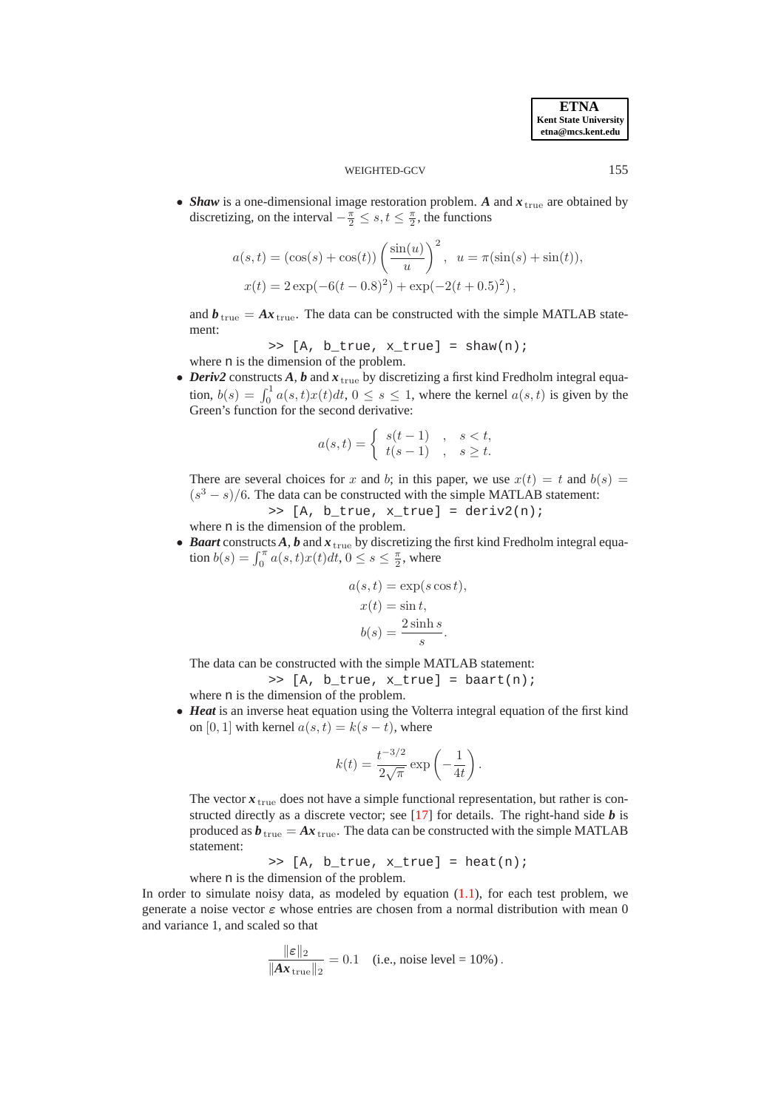• *Shaw* is a one-dimensional image restoration problem. A and  $x_{true}$  are obtained by discretizing, on the interval  $-\frac{\pi}{2} \leq s, t \leq \frac{\pi}{2}$ , the functions

$$
a(s,t) = (\cos(s) + \cos(t)) \left(\frac{\sin(u)}{u}\right)^2, \ u = \pi(\sin(s) + \sin(t)),
$$
  

$$
x(t) = 2 \exp(-6(t - 0.8)^2) + \exp(-2(t + 0.5)^2),
$$

and  $\mathbf{b}_{\text{true}} = A\mathbf{x}_{\text{true}}$ . The data can be constructed with the simple MATLAB statement:

>>  $[A, b, true, x, true] = \text{shaw}(n);$ where n is the dimension of the problem.

• *Deriv2* constructs *A*, *b* and  $x$ <sub>true</sub> by discretizing a first kind Fredholm integral equation,  $b(s) = \int_0^1 a(s, t)x(t)dt$ ,  $0 \le s \le 1$ , where the kernel  $a(s, t)$  is given by the Green's function for the second derivative:

$$
a(s,t) = \begin{cases} s(t-1) & , s < t, \\ t(s-1) & , s \ge t. \end{cases}
$$

There are several choices for x and b; in this paper, we use  $x(t) = t$  and  $b(s) =$  $(s<sup>3</sup> - s)/6$ . The data can be constructed with the simple MATLAB statement:

$$
>> [A, b\_true, x\_true] = deriv2(n);
$$
n is the dimension of the problem.

• *Baart* constructs  $A$ ,  $b$  and  $x$ <sub>true</sub> by discretizing the first kind Fredholm integral equation  $b(s) = \int_0^{\pi} a(s, t)x(t)dt, 0 \le s \le \frac{\pi}{2}$ , where

$$
a(s,t) = \exp(s \cos t),
$$
  
\n
$$
x(t) = \sin t,
$$
  
\n
$$
b(s) = \frac{2 \sinh s}{s}.
$$

The data can be constructed with the simple MATLAB statement:

$$
\Rightarrow [A, b_{true}, x_{true}] = baart(n);
$$

where n is the dimension of the problem.

<sup>k</sup>εk<sup>2</sup>

where

• *Heat* is an inverse heat equation using the Volterra integral equation of the first kind on [0, 1] with kernel  $a(s, t) = k(s - t)$ , where

$$
k(t) = \frac{t^{-3/2}}{2\sqrt{\pi}} \exp\left(-\frac{1}{4t}\right).
$$

The vector  $x_{true}$  does not have a simple functional representation, but rather is constructed directly as a discrete vector; see [\[17\]](#page-17-17) for details. The right-hand side *b* is produced as  $b_{\text{true}} = Ax_{\text{true}}$ . The data can be constructed with the simple MATLAB statement:

>> [A, b\_true, x\_true] = heat(n); where n is the dimension of the problem.

In order to simulate noisy data, as modeled by equation  $(1.1)$ , for each test problem, we generate a noise vector  $\varepsilon$  whose entries are chosen from a normal distribution with mean 0 and variance 1, and scaled so that

$$
\frac{\|\varepsilon\|_2}{\|Ax_{\text{true}}\|_2} = 0.1 \quad \text{(i.e., noise level} = 10\%).
$$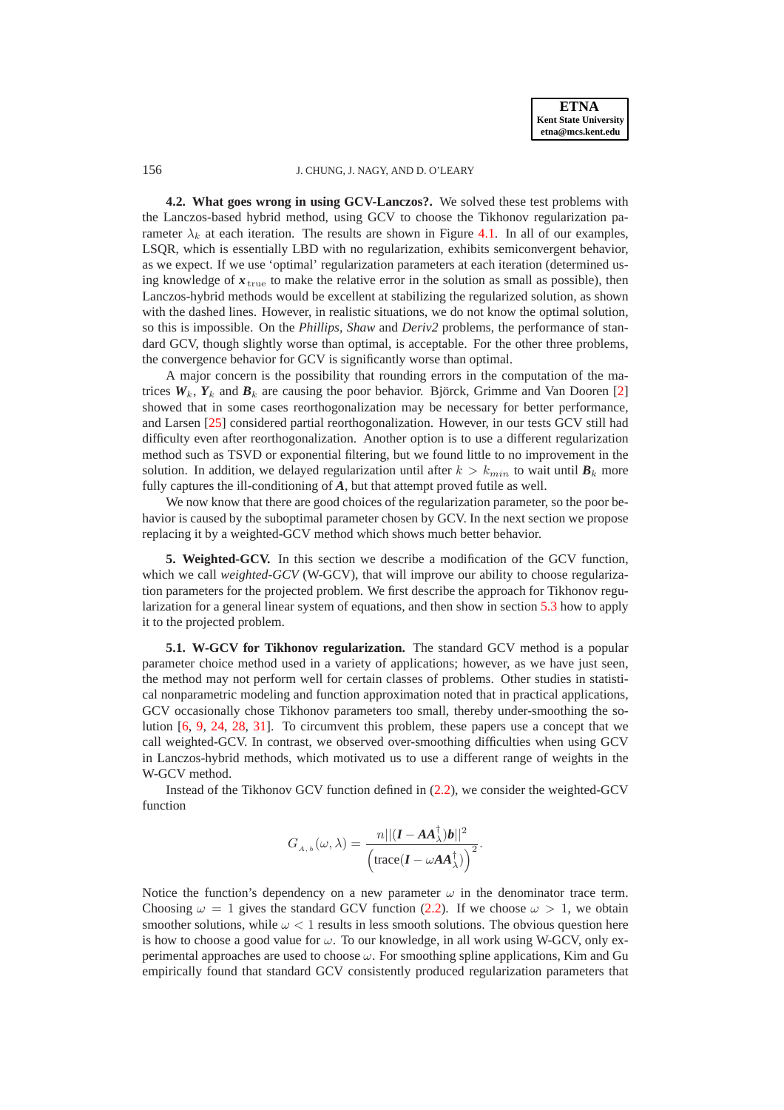**ETNA Kent State University etna@mcs.kent.edu**

#### 156 J. CHUNG, J. NAGY, AND D. O'LEARY

**4.2. What goes wrong in using GCV-Lanczos?.** We solved these test problems with the Lanczos-based hybrid method, using GCV to choose the Tikhonov regularization parameter  $\lambda_k$  at each iteration. The results are shown in Figure [4.1.](#page-14-0) In all of our examples, LSQR, which is essentially LBD with no regularization, exhibits semiconvergent behavior, as we expect. If we use 'optimal' regularization parameters at each iteration (determined using knowledge of  $x_{\text{true}}$  to make the relative error in the solution as small as possible), then Lanczos-hybrid methods would be excellent at stabilizing the regularized solution, as shown with the dashed lines. However, in realistic situations, we do not know the optimal solution, so this is impossible. On the *Phillips, Shaw* and *Deriv2* problems, the performance of standard GCV, though slightly worse than optimal, is acceptable. For the other three problems, the convergence behavior for GCV is significantly worse than optimal.

A major concern is the possibility that rounding errors in the computation of the matrices  $W_k$ ,  $Y_k$  and  $B_k$  are causing the poor behavior. Björck, Grimme and Van Dooren [[2\]](#page-17-12) showed that in some cases reorthogonalization may be necessary for better performance, and Larsen [\[25\]](#page-18-2) considered partial reorthogonalization. However, in our tests GCV still had difficulty even after reorthogonalization. Another option is to use a different regularization method such as TSVD or exponential filtering, but we found little to no improvement in the solution. In addition, we delayed regularization until after  $k > k_{min}$  to wait until  $\mathbf{B}_k$  more fully captures the ill-conditioning of *A*, but that attempt proved futile as well.

We now know that there are good choices of the regularization parameter, so the poor behavior is caused by the suboptimal parameter chosen by GCV. In the next section we propose replacing it by a weighted-GCV method which shows much better behavior.

<span id="page-7-0"></span>**5. Weighted-GCV.** In this section we describe a modification of the GCV function, which we call *weighted-GCV* (W-GCV), that will improve our ability to choose regularization parameters for the projected problem. We first describe the approach for Tikhonov regularization for a general linear system of equations, and then show in section [5.3](#page-10-0) how to apply it to the projected problem.

**5.1. W-GCV for Tikhonov regularization.** The standard GCV method is a popular parameter choice method used in a variety of applications; however, as we have just seen, the method may not perform well for certain classes of problems. Other studies in statistical nonparametric modeling and function approximation noted that in practical applications, GCV occasionally chose Tikhonov parameters too small, thereby under-smoothing the solution [\[6,](#page-17-18) [9,](#page-17-19) [24,](#page-18-5) [28,](#page-18-6) [31\]](#page-18-7). To circumvent this problem, these papers use a concept that we call weighted-GCV. In contrast, we observed over-smoothing difficulties when using GCV in Lanczos-hybrid methods, which motivated us to use a different range of weights in the W-GCV method.

Instead of the Tikhonov GCV function defined in [\(2.2\)](#page-3-1), we consider the weighted-GCV function

$$
G_{_{A,\,b}}(\omega,\lambda)=\frac{n||(\bm{I}-\bm{A}\bm{A}_{\lambda}^{\dagger})\bm{b}||^2}{\Big(\text{trace}(\bm{I}-\omega\bm{A}\bm{A}_{\lambda}^{\dagger})\Big)^2}.
$$

Notice the function's dependency on a new parameter  $\omega$  in the denominator trace term. Choosing  $\omega = 1$  gives the standard GCV function [\(2.2\)](#page-3-1). If we choose  $\omega > 1$ , we obtain smoother solutions, while  $\omega < 1$  results in less smooth solutions. The obvious question here is how to choose a good value for  $\omega$ . To our knowledge, in all work using W-GCV, only experimental approaches are used to choose  $\omega$ . For smoothing spline applications, Kim and Gu empirically found that standard GCV consistently produced regularization parameters that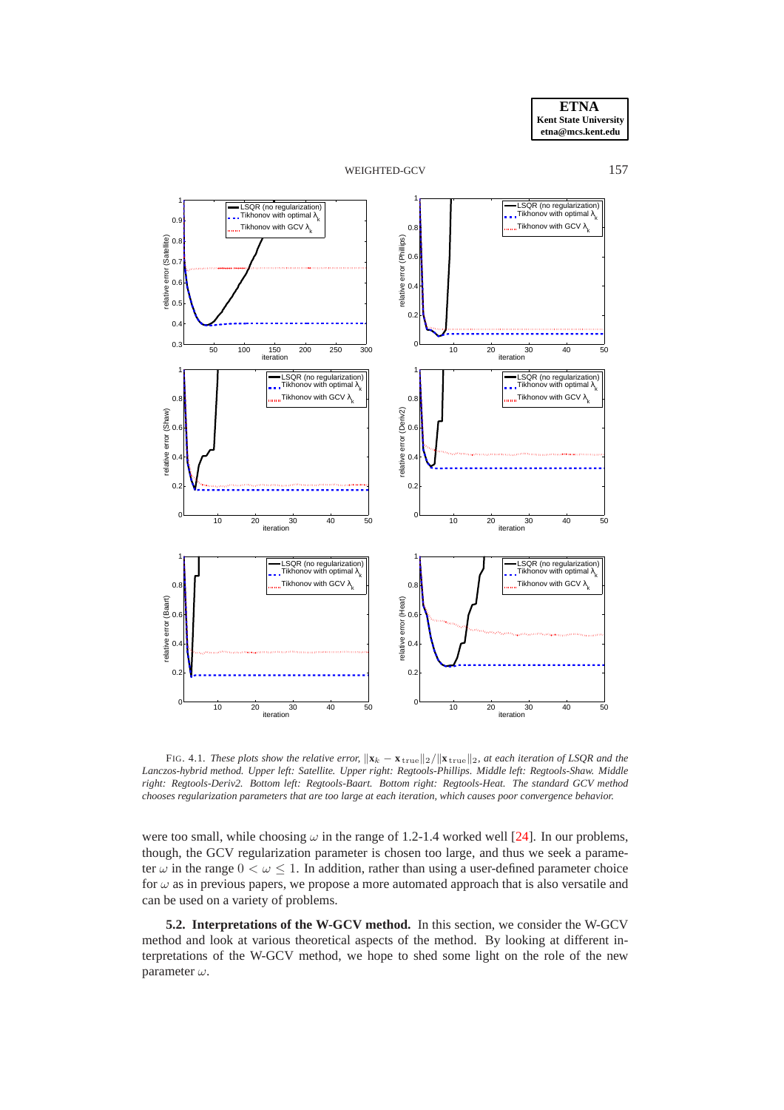



FIG. 4.1. *These plots show the relative error*,  $\|\mathbf{x}_k - \mathbf{x}_{\text{true}}\|_2 / \|\mathbf{x}_{\text{true}}\|_2$ , at each iteration of LSQR and the *Lanczos-hybrid method. Upper left: Satellite. Upper right: Regtools-Phillips. Middle left: Regtools-Shaw. Middle right: Regtools-Deriv2. Bottom left: Regtools-Baart. Bottom right: Regtools-Heat. The standard GCV method chooses regularization parameters that are too large at each iteration, which causes poor convergence behavior.*

were too small, while choosing  $\omega$  in the range of 1.2-1.4 worked well [\[24\]](#page-18-5). In our problems, though, the GCV regularization parameter is chosen too large, and thus we seek a parameter  $\omega$  in the range  $0 < \omega \leq 1$ . In addition, rather than using a user-defined parameter choice for  $\omega$  as in previous papers, we propose a more automated approach that is also versatile and can be used on a variety of problems.

**5.2. Interpretations of the W-GCV method.** In this section, we consider the W-GCV method and look at various theoretical aspects of the method. By looking at different interpretations of the W-GCV method, we hope to shed some light on the role of the new parameter  $\omega$ .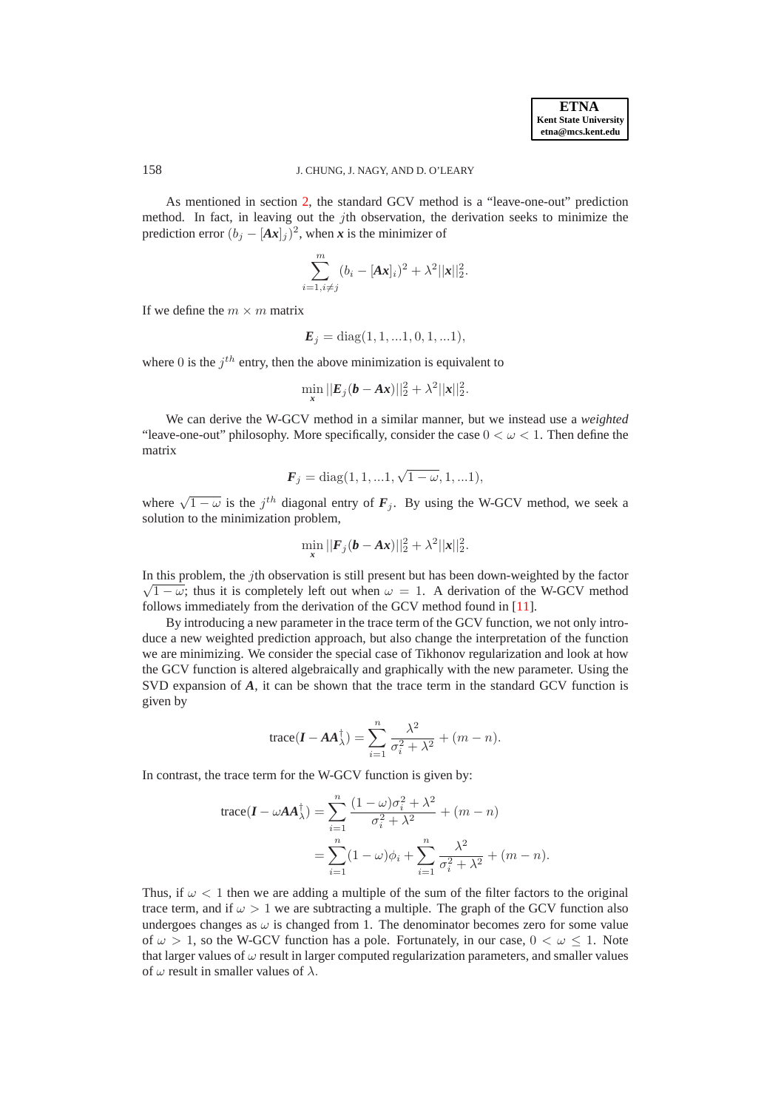As mentioned in section [2,](#page-2-0) the standard GCV method is a "leave-one-out" prediction method. In fact, in leaving out the *j*th observation, the derivation seeks to minimize the prediction error  $(b_j - [Ax]_j)^2$ , when *x* is the minimizer of

$$
\sum_{i=1, i \neq j}^{m} (b_i - [\mathbf{A} \mathbf{x}]_i)^2 + \lambda^2 ||\mathbf{x}||_2^2.
$$

If we define the  $m \times m$  matrix

$$
E_j = diag(1, 1, \ldots 1, 0, 1, \ldots 1),
$$

where 0 is the  $j<sup>th</sup>$  entry, then the above minimization is equivalent to

$$
\min_{\mathbf{x}} ||\mathbf{E}_{j}(\mathbf{b} - \mathbf{A}\mathbf{x})||_{2}^{2} + \lambda^{2} ||\mathbf{x}||_{2}^{2}.
$$

We can derive the W-GCV method in a similar manner, but we instead use a *weighted* "leave-one-out" philosophy. More specifically, consider the case  $0 < \omega < 1$ . Then define the matrix

$$
\bm{F}_j = \text{diag}(1, 1, \ldots, 1, \sqrt{1 - \omega}, 1, \ldots, 1),
$$

where  $\sqrt{1-\omega}$  is the j<sup>th</sup> diagonal entry of  $\mathbf{F}_j$ . By using the W-GCV method, we seek a solution to the minimization problem,

$$
\min_{\mathbf{x}} ||\mathbf{F}_j(\mathbf{b} - \mathbf{A}\mathbf{x})||_2^2 + \lambda^2 ||\mathbf{x}||_2^2.
$$

In this problem, the jth observation is still present but has been down-weighted by the factor  $\sqrt{1-\omega}$ ; thus it is completely left out when  $\omega = 1$ . A derivation of the W-GCV method follows immediately from the derivation of the GCV method found in [\[11\]](#page-17-20).

By introducing a new parameter in the trace term of the GCV function, we not only introduce a new weighted prediction approach, but also change the interpretation of the function we are minimizing. We consider the special case of Tikhonov regularization and look at how the GCV function is altered algebraically and graphically with the new parameter. Using the SVD expansion of *A*, it can be shown that the trace term in the standard GCV function is given by

trace
$$
(I - AA_{\lambda}^{\dagger}) = \sum_{i=1}^{n} \frac{\lambda^2}{\sigma_i^2 + \lambda^2} + (m - n).
$$

In contrast, the trace term for the W-GCV function is given by:

$$
\begin{split} \text{trace}(\boldsymbol{I} - \omega \boldsymbol{A} \boldsymbol{A}_{\lambda}^{\dagger}) &= \sum_{i=1}^{n} \frac{(1-\omega)\sigma_i^2 + \lambda^2}{\sigma_i^2 + \lambda^2} + (m-n) \\ &= \sum_{i=1}^{n} (1-\omega)\phi_i + \sum_{i=1}^{n} \frac{\lambda^2}{\sigma_i^2 + \lambda^2} + (m-n). \end{split}
$$

Thus, if  $\omega$  < 1 then we are adding a multiple of the sum of the filter factors to the original trace term, and if  $\omega > 1$  we are subtracting a multiple. The graph of the GCV function also undergoes changes as  $\omega$  is changed from 1. The denominator becomes zero for some value of  $\omega > 1$ , so the W-GCV function has a pole. Fortunately, in our case,  $0 < \omega \le 1$ . Note that larger values of  $\omega$  result in larger computed regularization parameters, and smaller values of  $\omega$  result in smaller values of  $\lambda$ .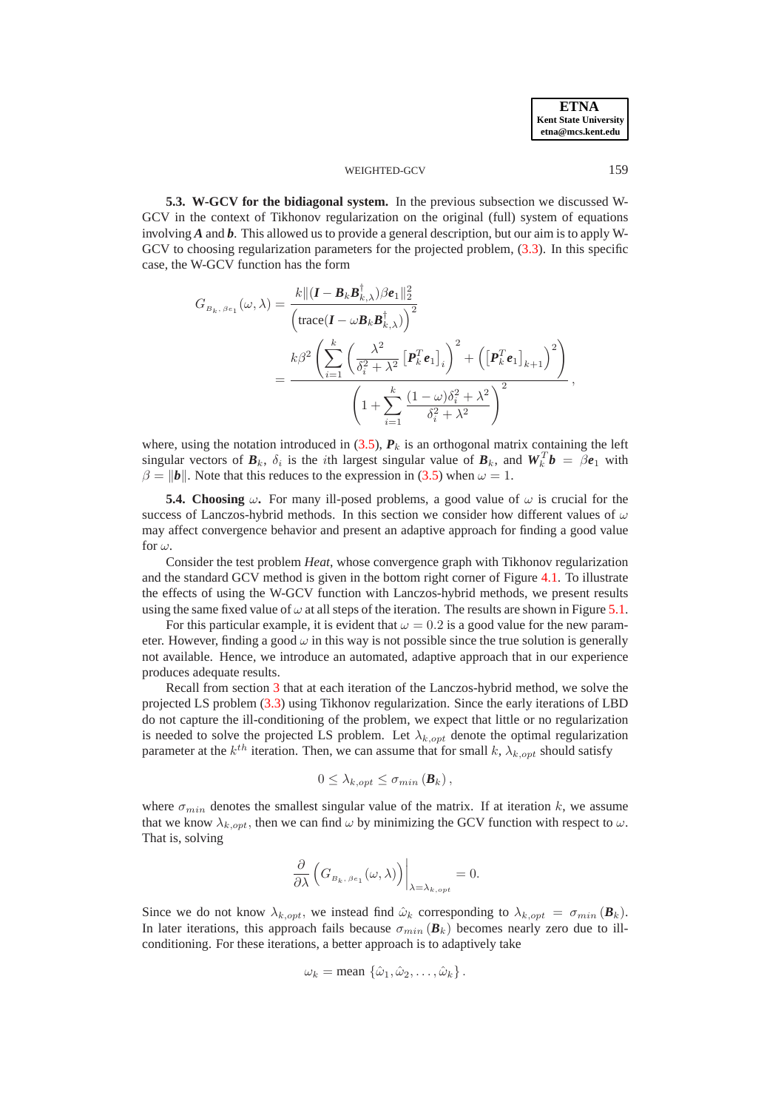<span id="page-10-0"></span>**5.3. W-GCV for the bidiagonal system.** In the previous subsection we discussed W-GCV in the context of Tikhonov regularization on the original (full) system of equations involving *A* and *b*. This allowed us to provide a general description, but our aim is to apply W-GCV to choosing regularization parameters for the projected problem, [\(3.3\)](#page-4-0). In this specific case, the W-GCV function has the form

$$
G_{B_k, \beta e_1}(\omega, \lambda) = \frac{k \|(I - B_k B_{k,\lambda}^{\dagger})\beta e_1\|_2^2}{\left(\text{trace}(I - \omega B_k B_{k,\lambda}^{\dagger})\right)^2} = \frac{k \beta^2 \left(\sum_{i=1}^k \left(\frac{\lambda^2}{\delta_i^2 + \lambda^2} \left[P_k^T e_1\right]_i\right)^2 + \left(\left[P_k^T e_1\right]_{k+1}\right)^2\right)}{\left(1 + \sum_{i=1}^k \frac{(1 - \omega)\delta_i^2 + \lambda^2}{\delta_i^2 + \lambda^2}\right)^2},
$$

where, using the notation introduced in  $(3.5)$ ,  $P_k$  is an orthogonal matrix containing the left singular vectors of  $B_k$ ,  $\delta_i$  is the *i*th largest singular value of  $B_k$ , and  $W_k^T b = \beta e_1$  with  $\beta = ||b||$ . Note that this reduces to the expression in [\(3.5\)](#page-5-2) when  $\omega = 1$ .

<span id="page-10-1"></span>**5.4. Choosing**  $\omega$ . For many ill-posed problems, a good value of  $\omega$  is crucial for the success of Lanczos-hybrid methods. In this section we consider how different values of  $\omega$ may affect convergence behavior and present an adaptive approach for finding a good value for  $\omega$ .

Consider the test problem *Heat*, whose convergence graph with Tikhonov regularization and the standard GCV method is given in the bottom right corner of Figure [4.1.](#page-14-0) To illustrate the effects of using the W-GCV function with Lanczos-hybrid methods, we present results using the same fixed value of  $\omega$  at all steps of the iteration. The results are shown in Figure [5.1.](#page-14-0)

For this particular example, it is evident that  $\omega = 0.2$  is a good value for the new parameter. However, finding a good  $\omega$  in this way is not possible since the true solution is generally not available. Hence, we introduce an automated, adaptive approach that in our experience produces adequate results.

Recall from section [3](#page-3-0) that at each iteration of the Lanczos-hybrid method, we solve the projected LS problem [\(3.3\)](#page-4-0) using Tikhonov regularization. Since the early iterations of LBD do not capture the ill-conditioning of the problem, we expect that little or no regularization is needed to solve the projected LS problem. Let  $\lambda_{k, opt}$  denote the optimal regularization parameter at the  $k^{th}$  iteration. Then, we can assume that for small k,  $\lambda_{k,opt}$  should satisfy

$$
0\leq \lambda_{k,opt}\leq \sigma_{min}\left(\boldsymbol{B}_{k}\right),
$$

where  $\sigma_{min}$  denotes the smallest singular value of the matrix. If at iteration k, we assume that we know  $\lambda_{k,out}$ , then we can find  $\omega$  by minimizing the GCV function with respect to  $\omega$ . That is, solving

$$
\left. \frac{\partial}{\partial \lambda} \left( G_{B_k, \beta e_1}(\omega, \lambda) \right) \right|_{\lambda = \lambda_{k,opt}} = 0.
$$

Since we do not know  $\lambda_{k,opt}$ , we instead find  $\hat{\omega}_k$  corresponding to  $\lambda_{k,opt} = \sigma_{min} (\mathbf{B}_k)$ . In later iterations, this approach fails because  $\sigma_{min}(\boldsymbol{B}_k)$  becomes nearly zero due to illconditioning. For these iterations, a better approach is to adaptively take

$$
\omega_k = \text{mean } \{\hat{\omega}_1, \hat{\omega}_2, \dots, \hat{\omega}_k\}.
$$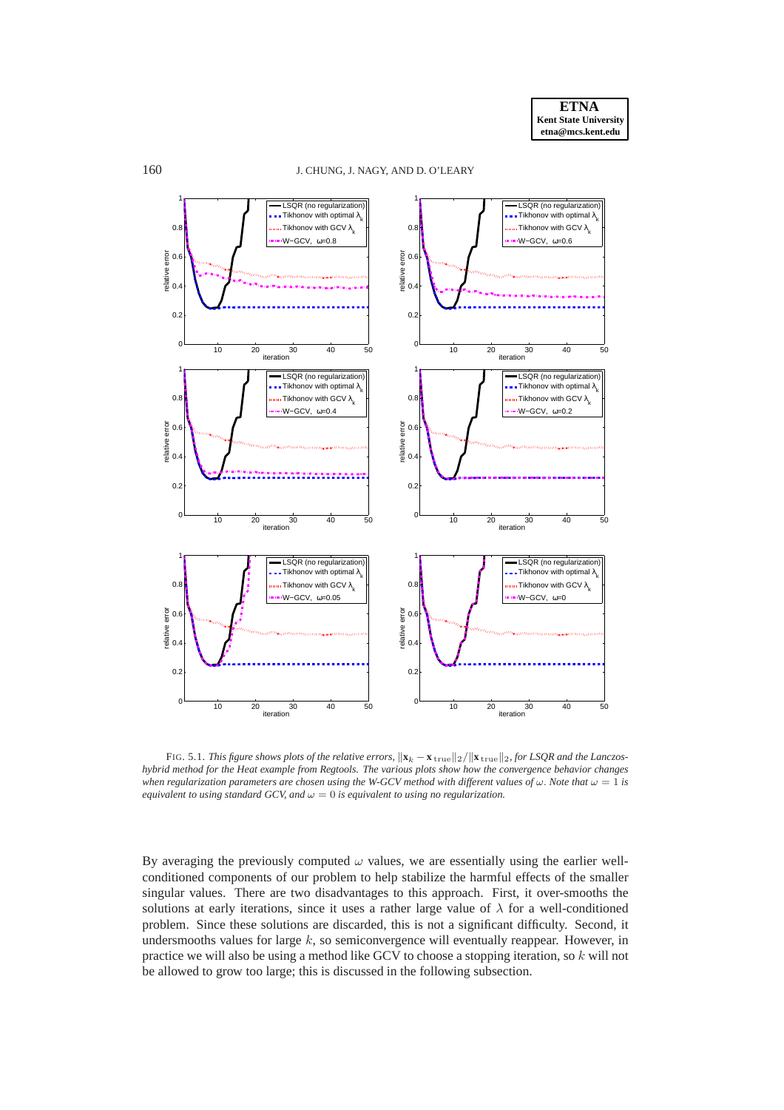

FIG. 5.1. *This figure shows plots of the relative errors,*  $\|\mathbf{x}_k - \mathbf{x}_{\text{true}}\|_2 / \|\mathbf{x}_{\text{true}}\|_2$ , for LSQR and the Lanczos*hybrid method for the Heat example from Regtools. The various plots show how the convergence behavior changes when regularization parameters are chosen using the W-GCV method with different values of*  $\omega$ . *Note that*  $\omega = 1$  *is equivalent to using standard GCV, and*  $\omega = 0$  *is equivalent to using no regularization.* 

By averaging the previously computed  $\omega$  values, we are essentially using the earlier wellconditioned components of our problem to help stabilize the harmful effects of the smaller singular values. There are two disadvantages to this approach. First, it over-smooths the solutions at early iterations, since it uses a rather large value of  $\lambda$  for a well-conditioned problem. Since these solutions are discarded, this is not a significant difficulty. Second, it undersmooths values for large  $k$ , so semiconvergence will eventually reappear. However, in practice we will also be using a method like GCV to choose a stopping iteration, so  $k$  will not be allowed to grow too large; this is discussed in the following subsection.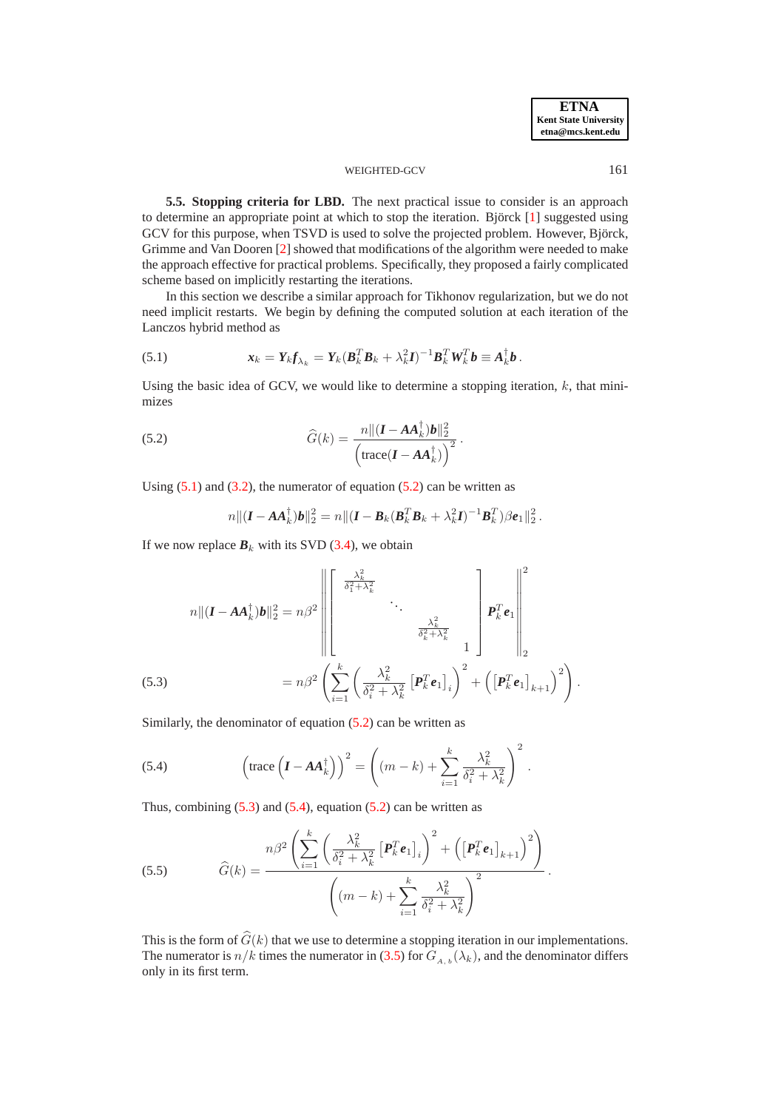**5.5. Stopping criteria for LBD.** The next practical issue to consider is an approach to determine an appropriate point at which to stop the iteration. Björck  $[1]$  $[1]$  suggested using GCV for this purpose, when TSVD is used to solve the projected problem. However, Björck, Grimme and Van Dooren [\[2\]](#page-17-12) showed that modifications of the algorithm were needed to make the approach effective for practical problems. Specifically, they proposed a fairly complicated scheme based on implicitly restarting the iterations.

In this section we describe a similar approach for Tikhonov regularization, but we do not need implicit restarts. We begin by defining the computed solution at each iteration of the Lanczos hybrid method as

<span id="page-12-0"></span>(5.1) 
$$
\mathbf{x}_k = \mathbf{Y}_k \mathbf{f}_{\lambda_k} = \mathbf{Y}_k (\mathbf{B}_k^T \mathbf{B}_k + \lambda_k^2 \mathbf{I})^{-1} \mathbf{B}_k^T \mathbf{W}_k^T \mathbf{b} \equiv \mathbf{A}_k^\dagger \mathbf{b}.
$$

Using the basic idea of GCV, we would like to determine a stopping iteration,  $k$ , that minimizes

<span id="page-12-1"></span>(5.2) 
$$
\widehat{G}(k) = \frac{n || (\boldsymbol{I} - \boldsymbol{A}\boldsymbol{A}_k^{\dagger})\boldsymbol{b} ||_2^2}{\left(\text{trace}(\boldsymbol{I} - \boldsymbol{A}\boldsymbol{A}_k^{\dagger})\right)^2}.
$$

Using  $(5.1)$  and  $(3.2)$ , the numerator of equation  $(5.2)$  can be written as

$$
n\|(I - AA_k^{\dagger})\boldsymbol{b}\|_2^2 = n\|(I - \boldsymbol{B}_k(\boldsymbol{B}_k^T\boldsymbol{B}_k + \lambda_k^2\boldsymbol{I})^{-1}\boldsymbol{B}_k^T)\beta\boldsymbol{e}_1\|_2^2.
$$

If we now replace  $B_k$  with its SVD [\(3.4\)](#page-4-2), we obtain

<span id="page-12-2"></span>
$$
n\|(\boldsymbol{I}-\boldsymbol{A}\boldsymbol{A}_{k}^{\dagger})\boldsymbol{b}\|_{2}^{2}=n\beta^{2}\left\|\begin{bmatrix} \frac{\lambda_{k}^{2}}{\delta_{1}^{2}+\lambda_{k}^{2}} & & \\ & \ddots & \\ & & \frac{\lambda_{k}^{2}}{\delta_{k}^{2}+\lambda_{k}^{2}} \\ & & & 1 \end{bmatrix}\boldsymbol{P}_{k}^{T}\boldsymbol{e}_{1}\right\|_{2}^{2}
$$
\n
$$
(5.3) \qquad \qquad =n\beta^{2}\left(\sum_{i=1}^{k}\left(\frac{\lambda_{k}^{2}}{\delta_{i}^{2}+\lambda_{k}^{2}}\left[\boldsymbol{P}_{k}^{T}\boldsymbol{e}_{1}\right]_{i}\right)^{2}+\left(\left[\boldsymbol{P}_{k}^{T}\boldsymbol{e}_{1}\right]_{k+1}\right)^{2}\right).
$$

Similarly, the denominator of equation  $(5.2)$  can be written as

<span id="page-12-3"></span>(5.4) 
$$
\left(\text{trace}\left(\boldsymbol{I}-\boldsymbol{A}\boldsymbol{A}_{k}^{\dagger}\right)\right)^{2} = \left((m-k)+\sum_{i=1}^{k}\frac{\lambda_{k}^{2}}{\delta_{i}^{2}+\lambda_{k}^{2}}\right)^{2}.
$$

Thus, combining  $(5.3)$  and  $(5.4)$ , equation  $(5.2)$  can be written as

(5.5) 
$$
\widehat{G}(k) = \frac{n\beta^2 \left(\sum_{i=1}^k \left(\frac{\lambda_k^2}{\delta_i^2 + \lambda_k^2} \left[\bm{P}_k^T \bm{e}_1\right]_i\right)^2 + \left(\left[\bm{P}_k^T \bm{e}_1\right]_{k+1}\right)^2\right)}{\left((m-k) + \sum_{i=1}^k \frac{\lambda_k^2}{\delta_i^2 + \lambda_k^2}\right)^2}.
$$

This is the form of  $\widehat{G}(k)$  that we use to determine a stopping iteration in our implementations. The numerator is  $n/k$  times the numerator in [\(3.5\)](#page-5-2) for  $G_{A, b}(\lambda_k)$ , and the denominator differs only in its first term.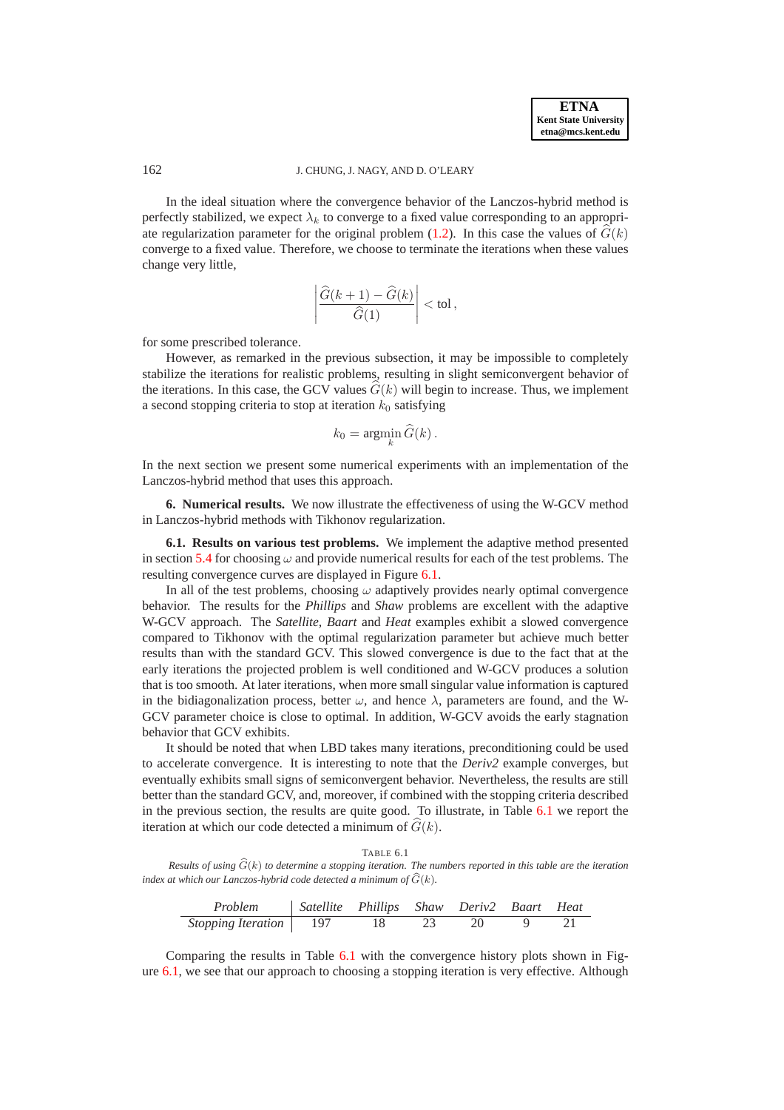In the ideal situation where the convergence behavior of the Lanczos-hybrid method is perfectly stabilized, we expect  $\lambda_k$  to converge to a fixed value corresponding to an appropri-ate regularization parameter for the original problem [\(1.2\)](#page-0-1). In this case the values of  $\hat{G}(k)$ converge to a fixed value. Therefore, we choose to terminate the iterations when these values change very little,

$$
\left|\frac{\widehat G(k+1)-\widehat G(k)}{\widehat G(1)}\right|<\text{tol}\,,
$$

for some prescribed tolerance.

However, as remarked in the previous subsection, it may be impossible to completely stabilize the iterations for realistic problems, resulting in slight semiconvergent behavior of the iterations. In this case, the GCV values  $G(k)$  will begin to increase. Thus, we implement a second stopping criteria to stop at iteration  $k_0$  satisfying

$$
k_0 = \operatorname*{argmin}_{k} \widehat{G}(k).
$$

In the next section we present some numerical experiments with an implementation of the Lanczos-hybrid method that uses this approach.

<span id="page-13-0"></span>**6. Numerical results.** We now illustrate the effectiveness of using the W-GCV method in Lanczos-hybrid methods with Tikhonov regularization.

**6.1. Results on various test problems.** We implement the adaptive method presented in section [5.4](#page-10-1) for choosing  $\omega$  and provide numerical results for each of the test problems. The resulting convergence curves are displayed in Figure [6.1.](#page-14-0)

In all of the test problems, choosing  $\omega$  adaptively provides nearly optimal convergence behavior. The results for the *Phillips* and *Shaw* problems are excellent with the adaptive W-GCV approach. The *Satellite, Baart* and *Heat* examples exhibit a slowed convergence compared to Tikhonov with the optimal regularization parameter but achieve much better results than with the standard GCV. This slowed convergence is due to the fact that at the early iterations the projected problem is well conditioned and W-GCV produces a solution that is too smooth. At later iterations, when more small singular value information is captured in the bidiagonalization process, better  $\omega$ , and hence  $\lambda$ , parameters are found, and the W-GCV parameter choice is close to optimal. In addition, W-GCV avoids the early stagnation behavior that GCV exhibits.

It should be noted that when LBD takes many iterations, preconditioning could be used to accelerate convergence. It is interesting to note that the *Deriv2* example converges, but eventually exhibits small signs of semiconvergent behavior. Nevertheless, the results are still better than the standard GCV, and, moreover, if combined with the stopping criteria described in the previous section, the results are quite good. To illustrate, in Table [6.1](#page-13-1) we report the iteration at which our code detected a minimum of  $G(k)$ .

TABLE 6.1

<span id="page-13-1"></span>*Results of using*  $\widehat{G}(k)$  *to determine a stopping iteration. The numbers reported in this table are the iteration index at which our Lanczos-hybrid code detected a minimum of*  $\widehat{G}(k)$ *.* 

| Problem                         | Satellite Phillips Shaw Deriv2 Baart Heat |    |      |    |  |
|---------------------------------|-------------------------------------------|----|------|----|--|
| <i>Stopping Iteration</i>   197 |                                           | 18 | - 23 | 20 |  |

Comparing the results in Table [6.1](#page-13-1) with the convergence history plots shown in Figure [6.1,](#page-14-0) we see that our approach to choosing a stopping iteration is very effective. Although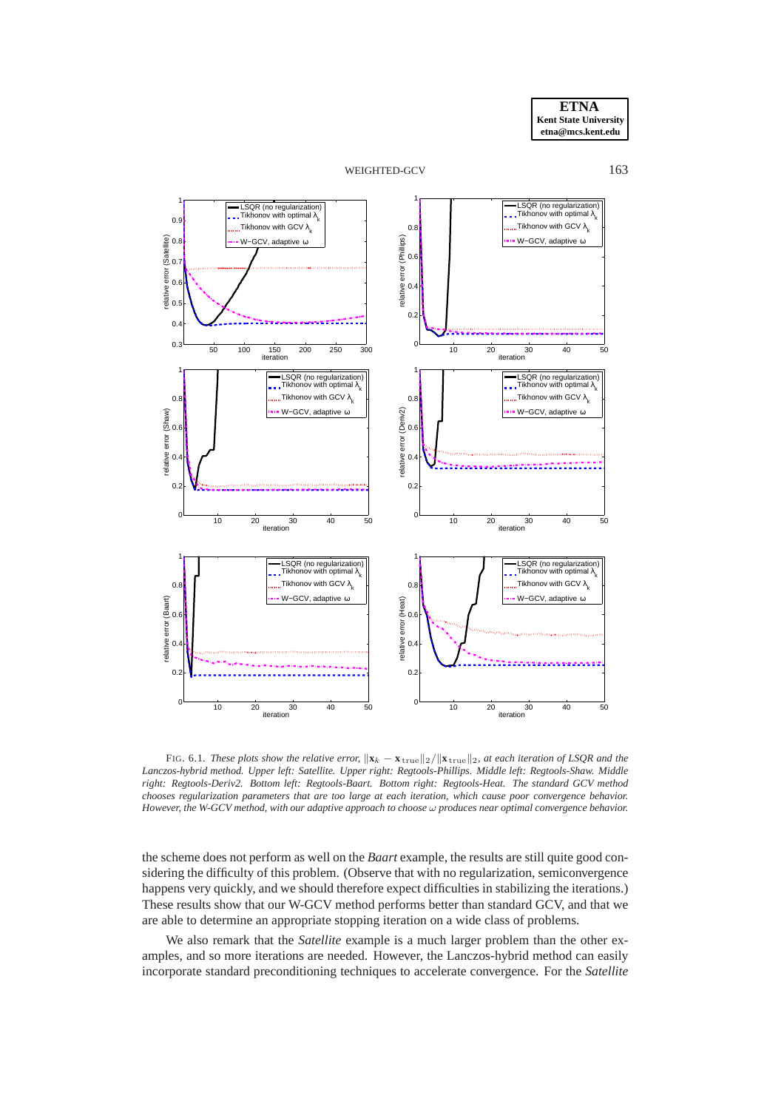



<span id="page-14-0"></span>FIG. 6.1. *These plots show the relative error*,  $\|\mathbf{x}_k - \mathbf{x}_{\text{true}}\|_2 / \|\mathbf{x}_{\text{true}}\|_2$ , at each iteration of LSQR and the *Lanczos-hybrid method. Upper left: Satellite. Upper right: Regtools-Phillips. Middle left: Regtools-Shaw. Middle right: Regtools-Deriv2. Bottom left: Regtools-Baart. Bottom right: Regtools-Heat. The standard GCV method chooses regularization parameters that are too large at each iteration, which cause poor convergence behavior. However, the W-GCV method, with our adaptive approach to choose* ω *produces near optimal convergence behavior.*

the scheme does not perform as well on the *Baart* example, the results are still quite good considering the difficulty of this problem. (Observe that with no regularization, semiconvergence happens very quickly, and we should therefore expect difficulties in stabilizing the iterations.) These results show that our W-GCV method performs better than standard GCV, and that we are able to determine an appropriate stopping iteration on a wide class of problems.

We also remark that the *Satellite* example is a much larger problem than the other examples, and so more iterations are needed. However, the Lanczos-hybrid method can easily incorporate standard preconditioning techniques to accelerate convergence. For the *Satellite*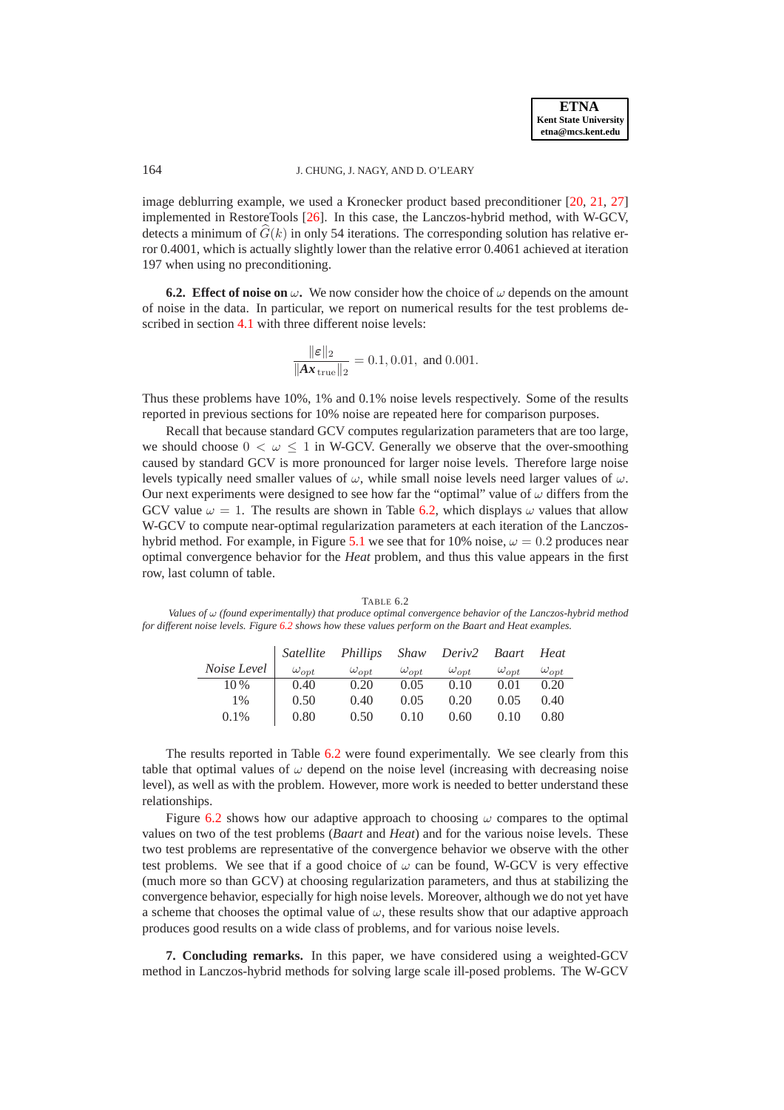image deblurring example, we used a Kronecker product based preconditioner [\[20,](#page-17-21) [21,](#page-17-22) [27\]](#page-18-8) implemented in RestoreTools [\[26\]](#page-18-4). In this case, the Lanczos-hybrid method, with W-GCV, detects a minimum of  $\hat{G}(k)$  in only 54 iterations. The corresponding solution has relative error 0.4001, which is actually slightly lower than the relative error 0.4061 achieved at iteration 197 when using no preconditioning.

**6.2. Effect of noise on**  $\omega$ . We now consider how the choice of  $\omega$  depends on the amount of noise in the data. In particular, we report on numerical results for the test problems described in section [4.1](#page-5-1) with three different noise levels:

$$
\frac{\|\varepsilon\|_2}{\|Ax_{\text{true}}\|_2} = 0.1, 0.01, \text{ and } 0.001.
$$

Thus these problems have 10%, 1% and 0.1% noise levels respectively. Some of the results reported in previous sections for 10% noise are repeated here for comparison purposes.

Recall that because standard GCV computes regularization parameters that are too large, we should choose  $0 < \omega < 1$  in W-GCV. Generally we observe that the over-smoothing caused by standard GCV is more pronounced for larger noise levels. Therefore large noise levels typically need smaller values of  $\omega$ , while small noise levels need larger values of  $\omega$ . Our next experiments were designed to see how far the "optimal" value of  $\omega$  differs from the GCV value  $\omega = 1$ . The results are shown in Table [6.2,](#page-15-1) which displays  $\omega$  values that allow W-GCV to compute near-optimal regularization parameters at each iteration of the Lanczos-hybrid method. For example, in Figure [5.1](#page-14-0) we see that for 10% noise,  $\omega = 0.2$  produces near optimal convergence behavior for the *Heat* problem, and thus this value appears in the first row, last column of table.

<span id="page-15-1"></span>TABLE 6.2 *Values of* ω *(found experimentally) that produce optimal convergence behavior of the Lanczos-hybrid method for different noise levels. Figure [6.2](#page-16-0) shows how these values perform on the Baart and Heat examples.*

|               |                | Satellite Phillips Shaw Deriv2 Baart Heat |                |                |                |                |
|---------------|----------------|-------------------------------------------|----------------|----------------|----------------|----------------|
| Noise Level 1 | $\omega_{opt}$ | $\omega_{opt}$                            | $\omega_{opt}$ | $\omega_{opt}$ | $\omega_{opt}$ | $\omega_{opt}$ |
| 10 %          | 0.40           | 0.20                                      | 0.05           | 0.10           | 0.01           | 0.20           |
| $1\%$         | 0.50           | 0.40                                      | 0.05           | 0.20           | 0.05           | 0.40           |
| $0.1\%$       | 0.80           | 0.50                                      | 0.10           | 0.60           | 0.10           | 0.80           |

The results reported in Table [6.2](#page-15-1) were found experimentally. We see clearly from this table that optimal values of  $\omega$  depend on the noise level (increasing with decreasing noise level), as well as with the problem. However, more work is needed to better understand these relationships.

Figure [6.2](#page-16-0) shows how our adaptive approach to choosing  $\omega$  compares to the optimal values on two of the test problems (*Baart* and *Heat*) and for the various noise levels. These two test problems are representative of the convergence behavior we observe with the other test problems. We see that if a good choice of  $\omega$  can be found, W-GCV is very effective (much more so than GCV) at choosing regularization parameters, and thus at stabilizing the convergence behavior, especially for high noise levels. Moreover, although we do not yet have a scheme that chooses the optimal value of  $\omega$ , these results show that our adaptive approach produces good results on a wide class of problems, and for various noise levels.

<span id="page-15-0"></span>**7. Concluding remarks.** In this paper, we have considered using a weighted-GCV method in Lanczos-hybrid methods for solving large scale ill-posed problems. The W-GCV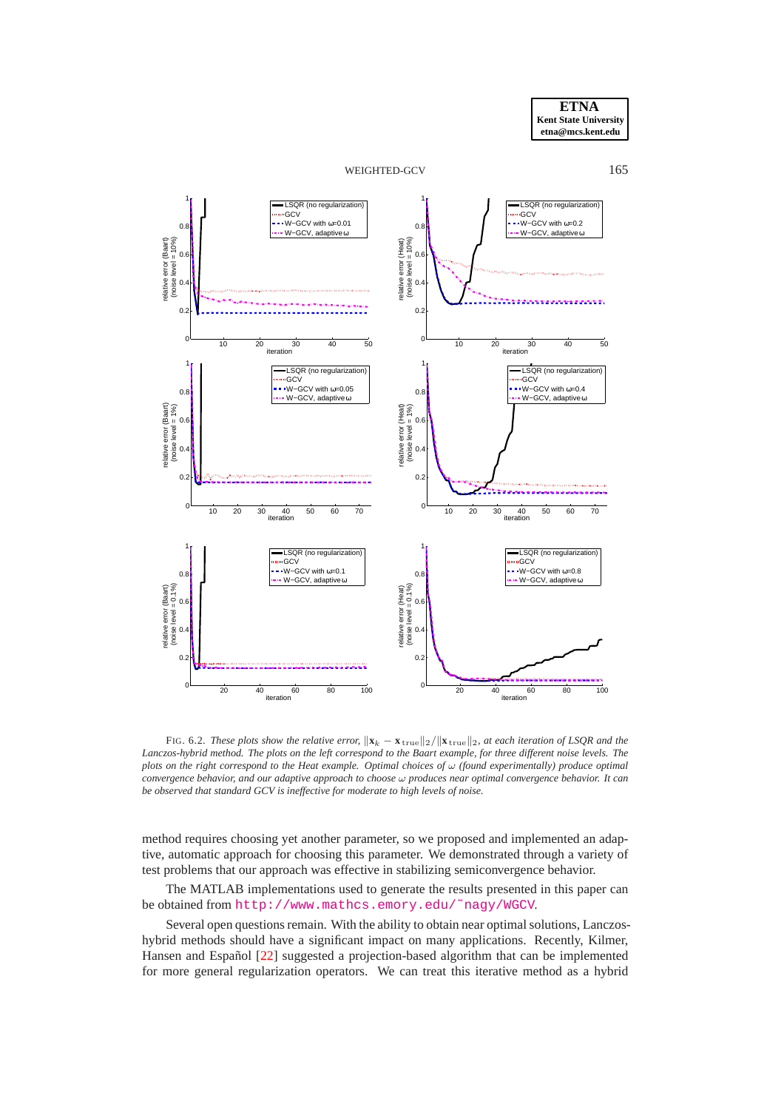



<span id="page-16-0"></span>FIG. 6.2. *These plots show the relative error,*  $\|\mathbf{x}_k - \mathbf{x}_{\text{true}}\|_2 / \|\mathbf{x}_{\text{true}}\|_2$ , at each iteration of LSQR and the *Lanczos-hybrid method. The plots on the left correspond to the Baart example, for three different noise levels. The plots on the right correspond to the Heat example. Optimal choices of* ω *(found experimentally) produce optimal convergence behavior, and our adaptive approach to choose* ω *produces near optimal convergence behavior. It can be observed that standard GCV is ineffective for moderate to high levels of noise.*

method requires choosing yet another parameter, so we proposed and implemented an adaptive, automatic approach for choosing this parameter. We demonstrated through a variety of test problems that our approach was effective in stabilizing semiconvergence behavior.

The MATLAB implementations used to generate the results presented in this paper can be obtained from [http://www.mathcs.emory.edu/˜nagy/WGCV](http://www.mathcs.emory.edu/~nagy/WGCV).

Several open questions remain. With the ability to obtain near optimal solutions, Lanczoshybrid methods should have a significant impact on many applications. Recently, Kilmer, Hansen and Español [[22\]](#page-17-15) suggested a projection-based algorithm that can be implemented for more general regularization operators. We can treat this iterative method as a hybrid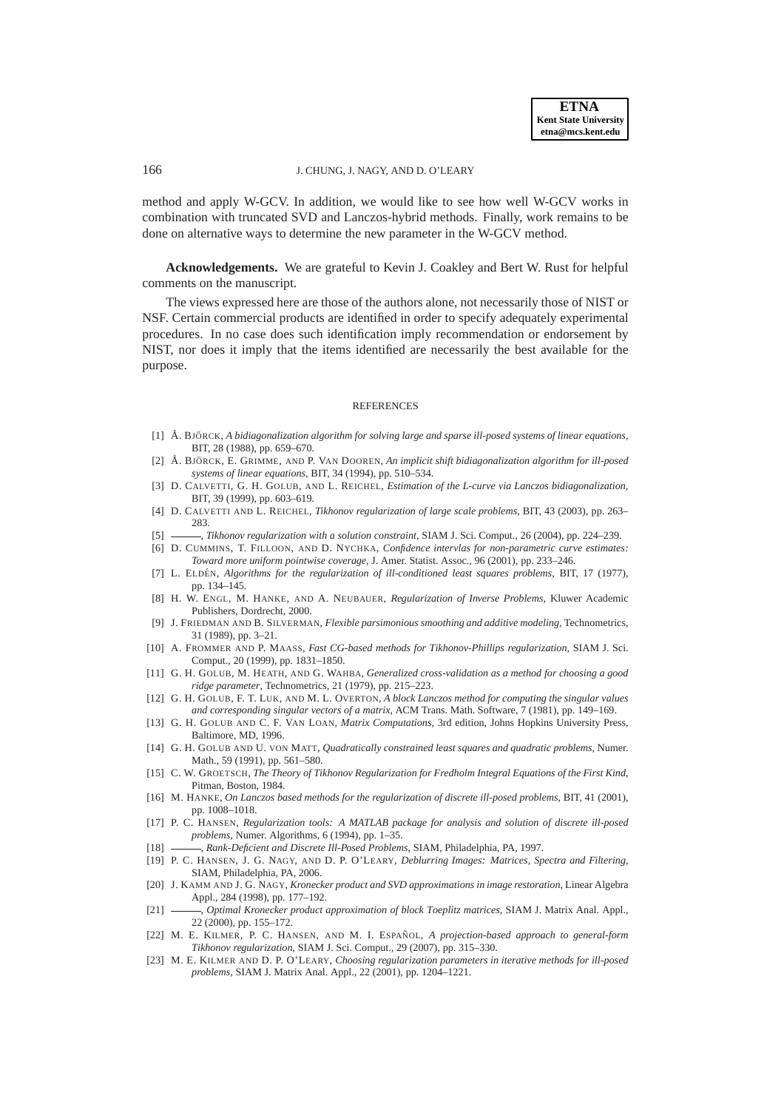method and apply W-GCV. In addition, we would like to see how well W-GCV works in combination with truncated SVD and Lanczos-hybrid methods. Finally, work remains to be done on alternative ways to determine the new parameter in the W-GCV method.

**Acknowledgements.** We are grateful to Kevin J. Coakley and Bert W. Rust for helpful comments on the manuscript.

The views expressed here are those of the authors alone, not necessarily those of NIST or NSF. Certain commercial products are identified in order to specify adequately experimental procedures. In no case does such identification imply recommendation or endorsement by NIST, nor does it imply that the items identified are necessarily the best available for the purpose.

#### **REFERENCES**

- <span id="page-17-11"></span>[1] Å. BJÖRCK, A bidiagonalization algorithm for solving large and sparse ill-posed systems of linear equations, BIT, 28 (1988), pp. 659–670.
- <span id="page-17-12"></span>[2] Å. BJÖRCK, E. GRIMME, AND P. VAN DOOREN, *An implicit shift bidiagonalization algorithm for ill-posed systems of linear equations*, BIT, 34 (1994), pp. 510–534.
- <span id="page-17-9"></span>[3] D. CALVETTI, G. H. GOLUB, AND L. REICHEL, *Estimation of the L-curve via Lanczos bidiagonalization*, BIT, 39 (1999), pp. 603–619.
- <span id="page-17-13"></span>[4] D. CALVETTI AND L. REICHEL, *Tikhonov regularization of large scale problems*, BIT, 43 (2003), pp. 263– 283.
- <span id="page-17-18"></span><span id="page-17-8"></span>[5] , *Tikhonov regularization with a solution constraint*, SIAM J. Sci. Comput., 26 (2004), pp. 224–239.
- [6] D. CUMMINS, T. FILLOON, AND D. NYCHKA, *Confidence intervlas for non-parametric curve estimates: Toward more uniform pointwise coverage*, J. Amer. Statist. Assoc., 96 (2001), pp. 233–246.
- <span id="page-17-6"></span>[7] L. ELDEN´ , *Algorithms for the regularization of ill-conditioned least squares problems*, BIT, 17 (1977), pp. 134–145.
- <span id="page-17-0"></span>[8] H. W. ENGL, M. HANKE, AND A. NEUBAUER, *Regularization of Inverse Problems*, Kluwer Academic Publishers, Dordrecht, 2000.
- <span id="page-17-19"></span>[9] J. FRIEDMAN AND B. SILVERMAN, *Flexible parsimonious smoothing and additive modeling*, Technometrics, 31 (1989), pp. 3–21.
- <span id="page-17-10"></span>[10] A. FROMMER AND P. MAASS, *Fast CG-based methods for Tikhonov-Phillips regularization*, SIAM J. Sci. Comput., 20 (1999), pp. 1831–1850.
- <span id="page-17-20"></span>[11] G. H. GOLUB, M. HEATH, AND G. WAHBA, *Generalized cross-validation as a method for choosing a good ridge parameter*, Technometrics, 21 (1979), pp. 215–223.
- <span id="page-17-16"></span>[12] G. H. GOLUB, F. T. LUK, AND M. L. OVERTON, *A block Lanczos method for computing the singular values and corresponding singular vectors of a matrix*, ACM Trans. Math. Software, 7 (1981), pp. 149–169.
- <span id="page-17-5"></span>[13] G. H. GOLUB AND C. F. VAN LOAN, *Matrix Computations*, 3rd edition, Johns Hopkins University Press, Baltimore, MD, 1996.
- <span id="page-17-7"></span>[14] G. H. GOLUB AND U. VON MATT, *Quadratically constrained least squares and quadratic problems*, Numer. Math., 59 (1991), pp. 561–580.
- <span id="page-17-3"></span>[15] C. W. GROETSCH, *The Theory of Tikhonov Regularization for Fredholm Integral Equations of the First Kind*, Pitman, Boston, 1984.
- <span id="page-17-14"></span>[16] M. HANKE, *On Lanczos based methods for the regularization of discrete ill-posed problems*, BIT, 41 (2001), pp. 1008–1018.
- <span id="page-17-17"></span>[17] P. C. HANSEN, *Regularization tools: A MATLAB package for analysis and solution of discrete ill-posed problems*, Numer. Algorithms, 6 (1994), pp. 1–35.
- <span id="page-17-2"></span><span id="page-17-1"></span>[18] , *Rank-Deficient and Discrete Ill-Posed Problems*, SIAM, Philadelphia, PA, 1997.
- [19] P. C. HANSEN, J. G. NAGY, AND D. P. O'LEARY, *Deblurring Images: Matrices, Spectra and Filtering*, SIAM, Philadelphia, PA, 2006.
- <span id="page-17-21"></span>[20] J. KAMM AND J. G. NAGY, *Kronecker product and SVD approximations in image restoration*, Linear Algebra Appl., 284 (1998), pp. 177–192.
- <span id="page-17-22"></span>[21] , *Optimal Kronecker product approximation of block Toeplitz matrices*, SIAM J. Matrix Anal. Appl., 22 (2000), pp. 155–172.
- <span id="page-17-15"></span>[22] M. E. KILMER, P. C. HANSEN, AND M. I. ESPAÑOL, A projection-based approach to general-form *Tikhonov regularization*, SIAM J. Sci. Comput., 29 (2007), pp. 315–330.
- <span id="page-17-4"></span>[23] M. E. KILMER AND D. P. O'LEARY, *Choosing regularization parameters in iterative methods for ill-posed problems*, SIAM J. Matrix Anal. Appl., 22 (2001), pp. 1204–1221.